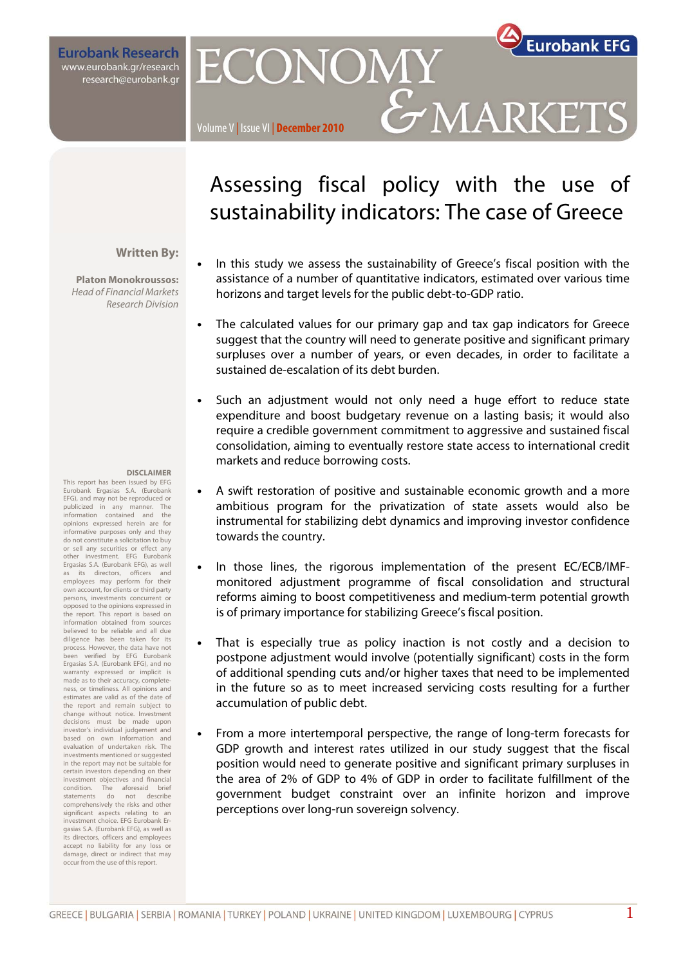**Eurobank Research** www.eurobank.gr/research research@eurobank.gr

# **Eurobank EFG** ECONOMY GMARKETS

### Volume V | Issue VI | **December 2010**

### **Written By:**

**Platon Monokroussos:**  Head of Financial Markets Research Division

#### **DISCLAIMER**

This report has been issued by EFG Eurobank Ergasias S.A. (Eurobank EFG), and may not be reproduced or publicized in any manner. The information contained and the opinions expressed herein are for informative purposes only and they do not constitute a solicitation to buy or sell any securities or effect any other investment. EFG Eurobank Ergasias S.A. (Eurobank EFG), as well its directors, officers and employees may perform for their own account, for clients or third party persons, investments concurrent or opposed to the opinions expressed in the report. This report is based on information obtained from sources believed to be reliable and all due diligence has been taken for its process. However, the data have not een verified by EFG Eurobank Ergasias S.A. (Eurobank EFG), and no warranty expressed or implicit is made as to their accuracy, completeness, or timeliness. All opinions and estimates are valid as of the date of the report and remain subject to change without notice. Investment decisions must be made upon investor's individual judgement and based on own information and evaluation of undertaken risk. The investments mentioned or suggested in the report may not be suitable for certain investors depending on their investment objectives and financial condition. The aforesaid brief statements do not describe comprehensively the risks and other significant aspects relating to an investment choice. EFG Eurobank Ergasias S.A. (Eurobank EFG), as well as its directors, officers and employees accept no liability for any loss or damage, direct or indirect that may occur from the use of this report.

## Assessing fiscal policy with the use of sustainability indicators: The case of Greece

- In this study we assess the sustainability of Greece's fiscal position with the assistance of a number of quantitative indicators, estimated over various time horizons and target levels for the public debt-to-GDP ratio.
- The calculated values for our primary gap and tax gap indicators for Greece suggest that the country will need to generate positive and significant primary surpluses over a number of years, or even decades, in order to facilitate a sustained de-escalation of its debt burden.
- Such an adjustment would not only need a huge effort to reduce state expenditure and boost budgetary revenue on a lasting basis; it would also require a credible government commitment to aggressive and sustained fiscal consolidation, aiming to eventually restore state access to international credit markets and reduce borrowing costs.
- A swift restoration of positive and sustainable economic growth and a more ambitious program for the privatization of state assets would also be instrumental for stabilizing debt dynamics and improving investor confidence towards the country.
- In those lines, the rigorous implementation of the present EC/ECB/IMFmonitored adjustment programme of fiscal consolidation and structural reforms aiming to boost competitiveness and medium-term potential growth is of primary importance for stabilizing Greece's fiscal position.
- That is especially true as policy inaction is not costly and a decision to postpone adjustment would involve (potentially significant) costs in the form of additional spending cuts and/or higher taxes that need to be implemented in the future so as to meet increased servicing costs resulting for a further accumulation of public debt.
- From a more intertemporal perspective, the range of long-term forecasts for GDP growth and interest rates utilized in our study suggest that the fiscal position would need to generate positive and significant primary surpluses in the area of 2% of GDP to 4% of GDP in order to facilitate fulfillment of the government budget constraint over an infinite horizon and improve perceptions over long-run sovereign solvency.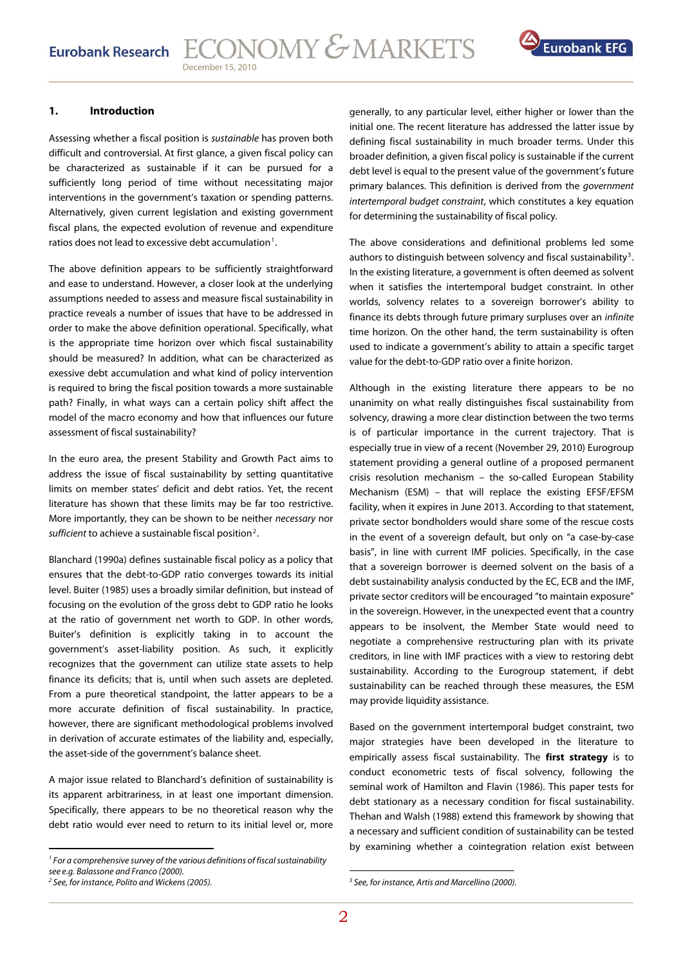

### **1. Introduction**

Assessing whether a fiscal position is sustainable has proven both difficult and controversial. At first glance, a given fiscal policy can be characterized as sustainable if it can be pursued for a sufficiently long period of time without necessitating major interventions in the government's taxation or spending patterns. Alternatively, given current legislation and existing government fiscal plans, the expected evolution of revenue and expenditure ratios does not lead to excessive debt accumulation<sup>[1](#page-1-0)</sup>.

The above definition appears to be sufficiently straightforward and ease to understand. However, a closer look at the underlying assumptions needed to assess and measure fiscal sustainability in practice reveals a number of issues that have to be addressed in order to make the above definition operational. Specifically, what is the appropriate time horizon over which fiscal sustainability should be measured? In addition, what can be characterized as exessive debt accumulation and what kind of policy intervention is required to bring the fiscal position towards a more sustainable path? Finally, in what ways can a certain policy shift affect the model of the macro economy and how that influences our future assessment of fiscal sustainability?

In the euro area, the present Stability and Growth Pact aims to address the issue of fiscal sustainability by setting quantitative limits on member states' deficit and debt ratios. Yet, the recent literature has shown that these limits may be far too restrictive. More importantly, they can be shown to be neither necessary nor sufficient to achieve a sustainable fiscal position<sup>[2](#page-1-1)</sup>.

Blanchard (1990a) defines sustainable fiscal policy as a policy that ensures that the debt-to-GDP ratio converges towards its initial level. Buiter (1985) uses a broadly similar definition, but instead of focusing on the evolution of the gross debt to GDP ratio he looks at the ratio of government net worth to GDP. In other words, Buiter's definition is explicitly taking in to account the government's asset-liability position. As such, it explicitly recognizes that the government can utilize state assets to help finance its deficits; that is, until when such assets are depleted. From a pure theoretical standpoint, the latter appears to be a more accurate definition of fiscal sustainability. In practice, however, there are significant methodological problems involved in derivation of accurate estimates of the liability and, especially, the asset-side of the government's balance sheet.

A major issue related to Blanchard's definition of sustainability is its apparent arbitrariness, in at least one important dimension. Specifically, there appears to be no theoretical reason why the debt ratio would ever need to return to its initial level or, more

generally, to any particular level, either higher or lower than the initial one. The recent literature has addressed the latter issue by defining fiscal sustainability in much broader terms. Under this broader definition, a given fiscal policy is sustainable if the current debt level is equal to the present value of the government's future primary balances. This definition is derived from the government intertemporal budget constraint, which constitutes a key equation for determining the sustainability of fiscal policy.

The above considerations and definitional problems led some authors to distinguish between solvency and fiscal sustainability<sup>[3](#page-1-1)</sup>. In the existing literature, a government is often deemed as solvent when it satisfies the intertemporal budget constraint. In other worlds, solvency relates to a sovereign borrower's ability to finance its debts through future primary surpluses over an infinite time horizon. On the other hand, the term sustainability is often used to indicate a government's ability to attain a specific target value for the debt-to-GDP ratio over a finite horizon.

Although in the existing literature there appears to be no unanimity on what really distinguishes fiscal sustainability from solvency, drawing a more clear distinction between the two terms is of particular importance in the current trajectory. That is especially true in view of a recent (November 29, 2010) Eurogroup statement providing a general outline of a proposed permanent crisis resolution mechanism – the so-called European Stability Mechanism (ESM) – that will replace the existing EFSF/EFSM facility, when it expires in June 2013. According to that statement, private sector bondholders would share some of the rescue costs in the event of a sovereign default, but only on "a case-by-case basis", in line with current IMF policies. Specifically, in the case that a sovereign borrower is deemed solvent on the basis of a debt sustainability analysis conducted by the EC, ECB and the IMF, private sector creditors will be encouraged "to maintain exposure" in the sovereign. However, in the unexpected event that a country appears to be insolvent, the Member State would need to negotiate a comprehensive restructuring plan with its private creditors, in line with IMF practices with a view to restoring debt sustainability. According to the Eurogroup statement, if debt sustainability can be reached through these measures, the ESM may provide liquidity assistance.

Based on the government intertemporal budget constraint, two major strategies have been developed in the literature to empirically assess fiscal sustainability. The **first strategy** is to conduct econometric tests of fiscal solvency, following the seminal work of Hamilton and Flavin (1986). This paper tests for debt stationary as a necessary condition for fiscal sustainability. Thehan and Walsh (1988) extend this framework by showing that a necessary and sufficient condition of sustainability can be tested by examining whether a cointegration relation exist between

 $1$  For a comprehensive survey of the various definitions of fiscal sustainability see e.g. Balassone and Franco (2000).

<span id="page-1-1"></span><span id="page-1-0"></span><sup>&</sup>lt;sup>2</sup> See, for instance, Polito and Wickens (2005).

 <sup>3</sup> See, for instance, Artis and Marcellino (2000).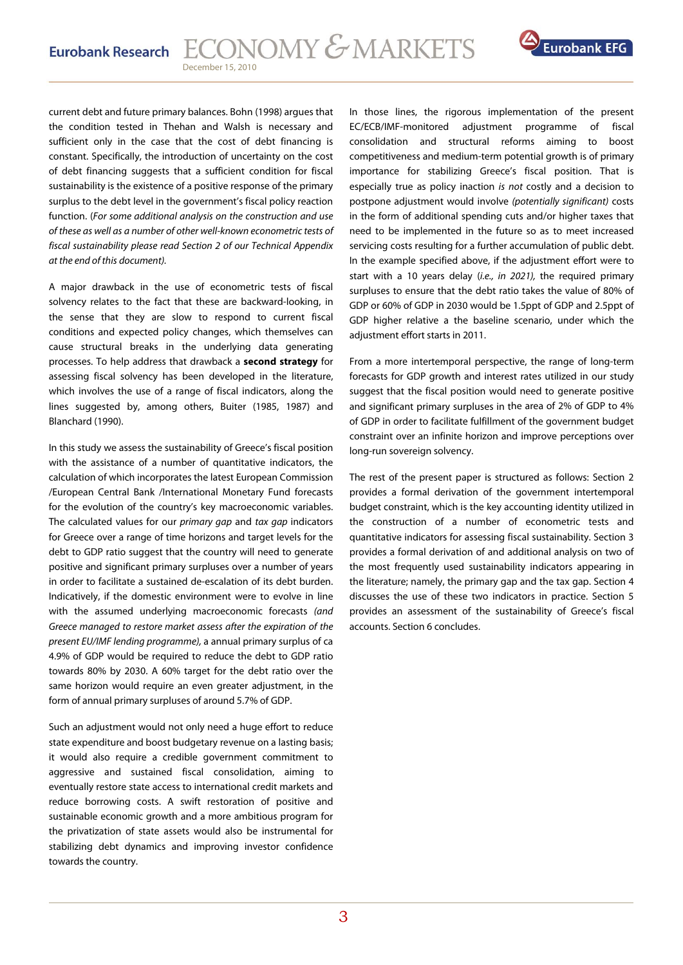

current debt and future primary balances. Bohn (1998) argues that the condition tested in Thehan and Walsh is necessary and sufficient only in the case that the cost of debt financing is constant. Specifically, the introduction of uncertainty on the cost of debt financing suggests that a sufficient condition for fiscal sustainability is the existence of a positive response of the primary surplus to the debt level in the government's fiscal policy reaction function. (For some additional analysis on the construction and use of these as well as a number of other well-known econometric tests of fiscal sustainability please read Section 2 of our Technical Appendix at the end of this document).

A major drawback in the use of econometric tests of fiscal solvency relates to the fact that these are backward-looking, in the sense that they are slow to respond to current fiscal conditions and expected policy changes, which themselves can cause structural breaks in the underlying data generating processes. To help address that drawback a **second strategy** for assessing fiscal solvency has been developed in the literature, which involves the use of a range of fiscal indicators, along the lines suggested by, among others, Buiter (1985, 1987) and Blanchard (1990).

In this study we assess the sustainability of Greece's fiscal position with the assistance of a number of quantitative indicators, the calculation of which incorporates the latest European Commission /European Central Bank /International Monetary Fund forecasts for the evolution of the country's key macroeconomic variables. The calculated values for our primary gap and tax gap indicators for Greece over a range of time horizons and target levels for the debt to GDP ratio suggest that the country will need to generate positive and significant primary surpluses over a number of years in order to facilitate a sustained de-escalation of its debt burden. Indicatively, if the domestic environment were to evolve in line with the assumed underlying macroeconomic forecasts (and Greece managed to restore market assess after the expiration of the present EU/IMF lending programme), a annual primary surplus of ca 4.9% of GDP would be required to reduce the debt to GDP ratio towards 80% by 2030. A 60% target for the debt ratio over the same horizon would require an even greater adjustment, in the form of annual primary surpluses of around 5.7% of GDP.

Such an adjustment would not only need a huge effort to reduce state expenditure and boost budgetary revenue on a lasting basis; it would also require a credible government commitment to aggressive and sustained fiscal consolidation, aiming to eventually restore state access to international credit markets and reduce borrowing costs. A swift restoration of positive and sustainable economic growth and a more ambitious program for the privatization of state assets would also be instrumental for stabilizing debt dynamics and improving investor confidence towards the country.

In those lines, the rigorous implementation of the present EC/ECB/IMF-monitored adjustment programme of fiscal consolidation and structural reforms aiming to boost competitiveness and medium-term potential growth is of primary importance for stabilizing Greece's fiscal position. That is especially true as policy inaction is not costly and a decision to postpone adjustment would involve (potentially significant) costs in the form of additional spending cuts and/or higher taxes that need to be implemented in the future so as to meet increased servicing costs resulting for a further accumulation of public debt. In the example specified above, if the adjustment effort were to start with a 10 years delay (i.e., in 2021), the required primary surpluses to ensure that the debt ratio takes the value of 80% of GDP or 60% of GDP in 2030 would be 1.5ppt of GDP and 2.5ppt of GDP higher relative a the baseline scenario, under which the adjustment effort starts in 2011.

From a more intertemporal perspective, the range of long-term forecasts for GDP growth and interest rates utilized in our study suggest that the fiscal position would need to generate positive and significant primary surpluses in the area of 2% of GDP to 4% of GDP in order to facilitate fulfillment of the government budget constraint over an infinite horizon and improve perceptions over long-run sovereign solvency.

The rest of the present paper is structured as follows: Section 2 provides a formal derivation of the government intertemporal budget constraint, which is the key accounting identity utilized in the construction of a number of econometric tests and quantitative indicators for assessing fiscal sustainability. Section 3 provides a formal derivation of and additional analysis on two of the most frequently used sustainability indicators appearing in the literature; namely, the primary gap and the tax gap. Section 4 discusses the use of these two indicators in practice. Section 5 provides an assessment of the sustainability of Greece's fiscal accounts. Section 6 concludes.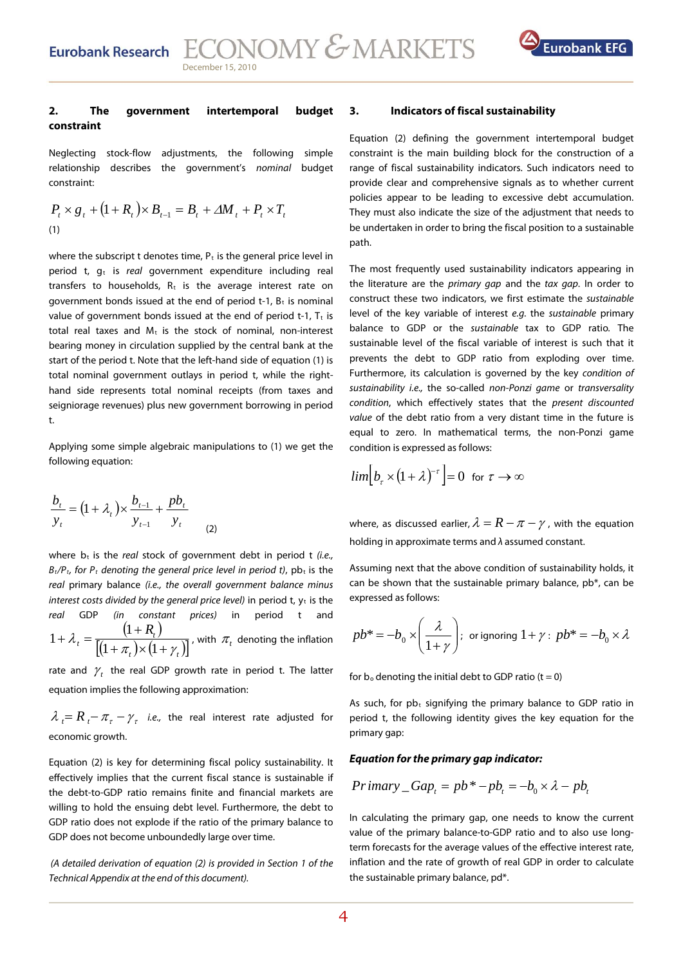

### **2. The government intertemporal budget constraint**

Neglecting stock-flow adjustments, the following simple relationship describes the government's nominal budget constraint:

$$
P_{t} \times g_{t} + (1 + R_{t}) \times B_{t-1} = B_{t} + \Delta M_{t} + P_{t} \times T_{t}
$$
  
(1)

where the subscript t denotes time,  $P_t$  is the general price level in period t,  $q_t$  is real government expenditure including real transfers to households,  $R_t$  is the average interest rate on government bonds issued at the end of period t-1,  $B_t$  is nominal value of government bonds issued at the end of period t-1,  $T_t$  is total real taxes and  $M_t$  is the stock of nominal, non-interest bearing money in circulation supplied by the central bank at the start of the period t. Note that the left-hand side of equation (1) is total nominal government outlays in period t, while the righthand side represents total nominal receipts (from taxes and seigniorage revenues) plus new government borrowing in period t.

Applying some simple algebraic manipulations to (1) we get the following equation:

$$
\frac{b_t}{y_t} = (1 + \lambda_t) \times \frac{b_{t-1}}{y_{t-1}} + \frac{pb_t}{y_t}
$$
 (2)

real GDP (in constant prices) in period t and  $\mathcal{)}$ where  $b_t$  is the real stock of government debt in period t (i.e.,  $B_t/P_t$ , for  $P_t$  denoting the general price level in period t), pb<sub>t</sub> is the real primary balance (i.e., the overall government balance minus interest costs divided by the general price level) in period t,  $y_t$  is the  $(1 + R_{i})$  $[(1+\pi_t)\times(1+\gamma_t)]$  $1 + \lambda_i = \frac{(1 + R_i)}{\Gamma(1 - 1) \cdot (1 + k_i)}$ , with  $\frac{t}{(1+\pi_t)}\times(1+\gamma_t)$ , with  $\pi_t$  denoting the inflation

rate and  $\gamma$ , the real GDP growth rate in period t. The latter equation implies the following approximation:

 $\lambda$ <sub>r</sub>  $=$   $R$ <sub>r</sub>  $\pi$ <sub>r</sub>  $\gamma$ <sub>r</sub> i.e., the real interest rate adjusted for economic growth.

GDP ratio does not explode if the ratio of the primary balance to GDP does not become unboundedly large over time. Equation (2) is key for determining fiscal policy sustainability. It effectively implies that the current fiscal stance is sustainable if the debt-to-GDP ratio remains finite and financial markets are willing to hold the ensuing debt level. Furthermore, the debt to

(A detailed derivation of equation  $(2)$  is provided in Section 1 of the Technical Appendix at the end of this document).

### **3. Indicators of fiscal sustainability**

Equation (2) defining the government intertemporal budget constraint is the main building block for the construction of a range of fiscal sustainability indicators. Such indicators need to provide clear and comprehensive signals as to whether current policies appear to be leading to excessive debt accumulation. They must also indicate the size of the adjustment that needs to be undertaken in order to bring the fiscal position to a sustainable path.

The most frequently used sustainability indicators appearing in the literature are the *primary gap* and the tax gap. In order to construct these two indicators, we first estimate the sustainable level of the key variable of interest e.g. the sustainable primary balance to GDP or the sustainable tax to GDP ratio. The sustainable level of the fiscal variable of interest is such that it prevents the debt to GDP ratio from exploding over time. Furthermore, its calculation is governed by the key condition of sustainability i.e., the so-called non-Ponzi game or transversality condition, which effectively states that the present discounted value of the debt ratio from a very distant time in the future is equal to zero. In mathematical terms, the non-Ponzi game condition is expressed as follows:

$$
lim [b_{\tau} \times (1 + \lambda)^{-\tau}] = 0 \text{ for } \tau \to \infty
$$

where, as discussed earlier,  $\lambda = R - \pi - \gamma$ , with the equation holding in approximate terms and  $\lambda$  assumed constant.

Assuming next that the above condition of sustainability holds, it can be shown that the sustainable primary balance,  $pb^*$ , can be expressed as follows:

$$
pb^* = -b_0 \times \left(\frac{\lambda}{1+\gamma}\right); \text{ or ignoring } 1+\gamma: pb^* = -b_0 \times \lambda
$$

for  $b_0$  denoting the initial debt to GDP ratio (t = 0)

As such, for  $pb<sub>t</sub>$  signifying the primary balance to GDP ratio in period t, the following identity gives the key equation for the primary gap:

### **Equation for the primary gap indicator:**

$$
Primary\_Gap_t = pb^* - pb_t = -b_0 \times \lambda - pb_t
$$

In calculating the primary gap, one needs to know the current value of the primary balance-to-GDP ratio and to also use longterm forecasts for the average values of the effective interest rate, inflation and the rate of growth of real GDP in order to calculate the sustainable primary balance, pd\*.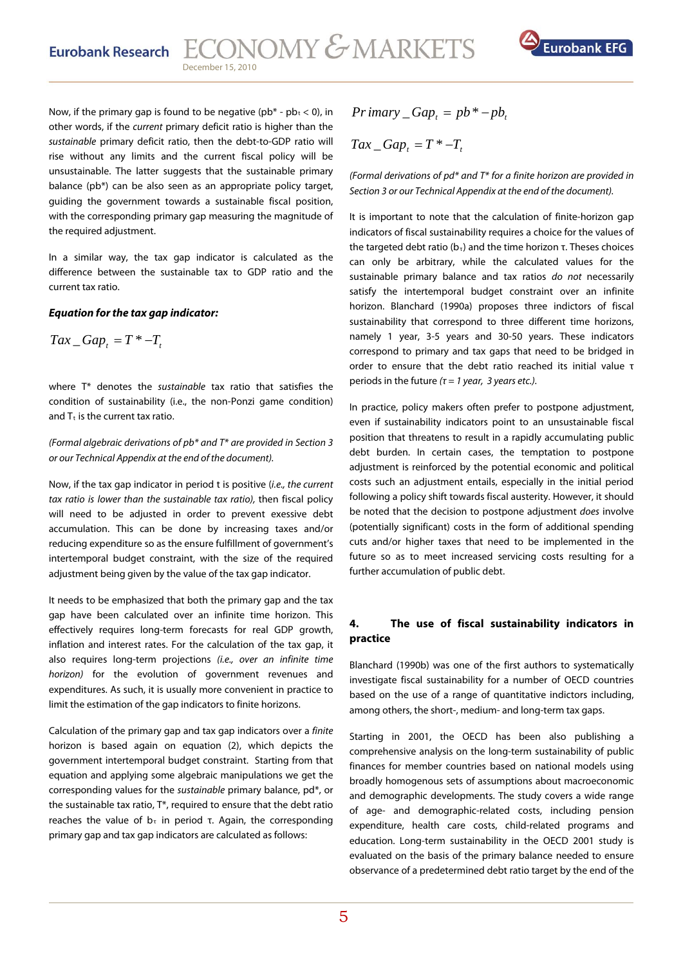

Now, if the primary gap is found to be negative ( $pb^*$  -  $pb_t$  < 0), in other words, if the current primary deficit ratio is higher than the sustainable primary deficit ratio, then the debt-to-GDP ratio will rise without any limits and the current fiscal policy will be unsustainable. The latter suggests that the sustainable primary balance (pb\*) can be also seen as an appropriate policy target, guiding the government towards a sustainable fiscal position, with the corresponding primary gap measuring the magnitude of the required adjustment.

In a similar way, the tax gap indicator is calculated as the difference between the sustainable tax to GDP ratio and the current tax ratio.

### **Equation for the tax gap indicator:**

$$
Tax\_Gap_t = T^* - T_t
$$

where  $T^*$  denotes the *sustainable* tax ratio that satisfies the condition of sustainability (i.e., the non-Ponzi game condition) and  $T<sub>t</sub>$  is the current tax ratio.

### (Formal algebraic derivations of pb\* and T\* are provided in Section 3 or our Technical Appendix at the end of the document).

Now, if the tax gap indicator in period t is positive (i.e., the current tax ratio is lower than the sustainable tax ratio), then fiscal policy will need to be adjusted in order to prevent exessive debt accumulation. This can be done by increasing taxes and/or reducing expenditure so as the ensure fulfillment of government's intertemporal budget constraint, with the size of the required adjustment being given by the value of the tax gap indicator.

It needs to be emphasized that both the primary gap and the tax gap have been calculated over an infinite time horizon. This effectively requires long-term forecasts for real GDP growth, inflation and interest rates. For the calculation of the tax gap, it also requires long-term projections (i.e., over an infinite time horizon) for the evolution of government revenues and expenditures. As such, it is usually more convenient in practice to limit the estimation of the gap indicators to finite horizons.

Calculation of the primary gap and tax gap indicators over a finite horizon is based again on equation (2), which depicts the government intertemporal budget constraint. Starting from that equation and applying some algebraic manipulations we get the corresponding values for the sustainable primary balance, pd\*, or the sustainable tax ratio, Τ\*, required to ensure that the debt ratio reaches the value of  $b<sub>τ</sub>$  in period τ. Again, the corresponding primary gap and tax gap indicators are calculated as follows:

$$
Primary\_Gap_t = pb^* - pb_t
$$

$$
Tax\_Gap_t = T^* - T_t
$$

(Formal derivations of pd\* and  $T^*$  for a finite horizon are provided in Section 3 or our Technical Appendix at the end of the document).

It is important to note that the calculation of finite-horizon gap indicators of fiscal sustainability requires a choice for the values of the targeted debt ratio ( $b_τ$ ) and the time horizon τ. Theses choices can only be arbitrary, while the calculated values for the sustainable primary balance and tax ratios do not necessarily satisfy the intertemporal budget constraint over an infinite horizon. Blanchard (1990a) proposes three indictors of fiscal sustainability that correspond to three different time horizons, namely 1 year, 3-5 years and 30-50 years. These indicators correspond to primary and tax gaps that need to be bridged in order to ensure that the debt ratio reached its initial value τ periods in the future  $(\tau = 1$  year, 3 years etc.).

In practice, policy makers often prefer to postpone adjustment, even if sustainability indicators point to an unsustainable fiscal position that threatens to result in a rapidly accumulating public debt burden. In certain cases, the temptation to postpone adjustment is reinforced by the potential economic and political costs such an adjustment entails, especially in the initial period following a policy shift towards fiscal austerity. However, it should be noted that the decision to postpone adjustment does involve (potentially significant) costs in the form of additional spending cuts and/or higher taxes that need to be implemented in the future so as to meet increased servicing costs resulting for a further accumulation of public debt.

### **4. The use of fiscal sustainability indicators in practice**

Blanchard (1990b) was one of the first authors to systematically investigate fiscal sustainability for a number of OECD countries based on the use of a range of quantitative indictors including, among others, the short-, medium- and long-term tax gaps.

Starting in 2001, the OECD has been also publishing a comprehensive analysis on the long-term sustainability of public finances for member countries based on national models using broadly homogenous sets of assumptions about macroeconomic and demographic developments. The study covers a wide range of age- and demographic-related costs, including pension expenditure, health care costs, child-related programs and education. Long-term sustainability in the OECD 2001 study is evaluated on the basis of the primary balance needed to ensure observance of a predetermined debt ratio target by the end of the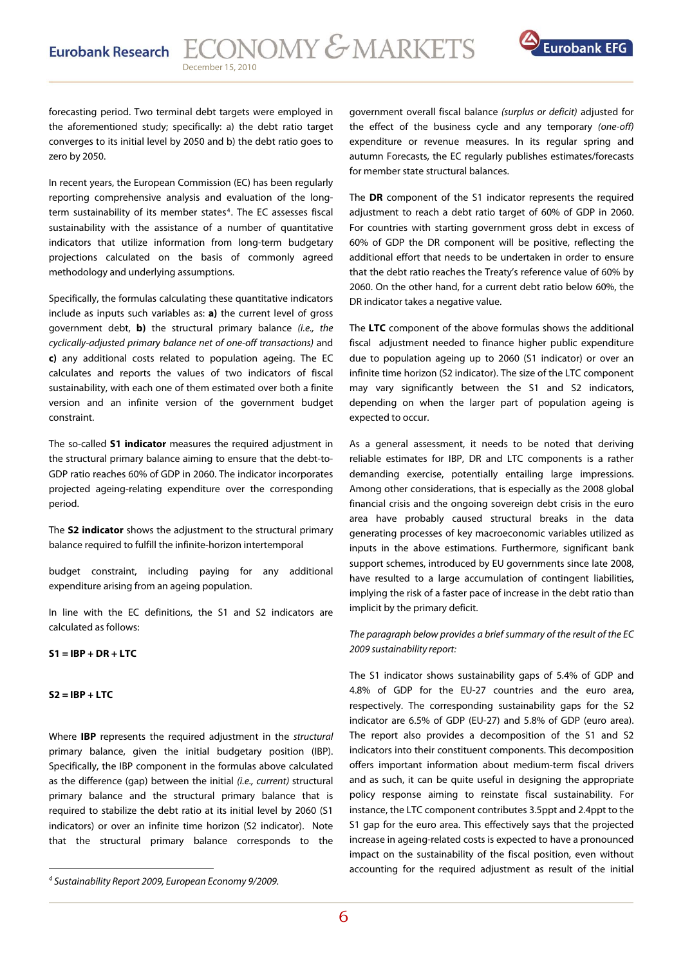

forecasting period. Two terminal debt targets were employed in the aforementioned study; specifically: a) the debt ratio target converges to its initial level by 2050 and b) the debt ratio goes to zero by 2050.

In recent years, the European Commission (EC) has been regularly reporting comprehensive analysis and evaluation of the long-term sustainability of its member states<sup>[4](#page-5-0)</sup>. The EC assesses fiscal sustainability with the assistance of a number of quantitative indicators that utilize information from long-term budgetary projections calculated on the basis of commonly agreed methodology and underlying assumptions.

Specifically, the formulas calculating these quantitative indicators include as inputs such variables as: **a)** the current level of gross government debt, **b)** the structural primary balance (i.e., the cyclically-adjusted primary balance net of one-off transactions) and **c)** any additional costs related to population ageing. The EC calculates and reports the values of two indicators of fiscal sustainability, with each one of them estimated over both a finite version and an infinite version of the government budget constraint.

The so-called **S1 indicator** measures the required adjustment in the structural primary balance aiming to ensure that the debt-to-GDP ratio reaches 60% of GDP in 2060. The indicator incorporates projected ageing-relating expenditure over the corresponding period.

The **S2 indicator** shows the adjustment to the structural primary balance required to fulfill the infinite-horizon intertemporal

budget constraint, including paying for any additional expenditure arising from an ageing population.

In line with the EC definitions, the S1 and S2 indicators are calculated as follows:

**S1 = IBP + DR + LTC** 

### **S2 = IBP + LTC**

Where **IBP** represents the required adjustment in the structural primary balance, given the initial budgetary position (IBP). Specifically, the IBP component in the formulas above calculated as the difference (gap) between the initial (i.e., current) structural primary balance and the structural primary balance that is required to stabilize the debt ratio at its initial level by 2060 (S1 indicators) or over an infinite time horizon (S2 indicator). Note that the structural primary balance corresponds to the

government overall fiscal balance (surplus or deficit) adjusted for the effect of the business cycle and any temporary (one-off) expenditure or revenue measures. In its regular spring and autumn Forecasts, the EC regularly publishes estimates/forecasts for member state structural balances.

The **DR** component of the S1 indicator represents the required adjustment to reach a debt ratio target of 60% of GDP in 2060. For countries with starting government gross debt in excess of 60% of GDP the DR component will be positive, reflecting the additional effort that needs to be undertaken in order to ensure that the debt ratio reaches the Treaty's reference value of 60% by 2060. On the other hand, for a current debt ratio below 60%, the DR indicator takes a negative value.

The **LTC** component of the above formulas shows the additional fiscal adjustment needed to finance higher public expenditure due to population ageing up to 2060 (S1 indicator) or over an infinite time horizon (S2 indicator). The size of the LTC component may vary significantly between the S1 and S2 indicators, depending on when the larger part of population ageing is expected to occur.

As a general assessment, it needs to be noted that deriving reliable estimates for IBP, DR and LTC components is a rather demanding exercise, potentially entailing large impressions. Among other considerations, that is especially as the 2008 global financial crisis and the ongoing sovereign debt crisis in the euro area have probably caused structural breaks in the data generating processes of key macroeconomic variables utilized as inputs in the above estimations. Furthermore, significant bank support schemes, introduced by EU governments since late 2008, have resulted to a large accumulation of contingent liabilities, implying the risk of a faster pace of increase in the debt ratio than implicit by the primary deficit.

### The paragraph below provides a brief summary of the result of the EC 2009 sustainability report:

The S1 indicator shows sustainability gaps of 5.4% of GDP and 4.8% of GDP for the EU-27 countries and the euro area, respectively. The corresponding sustainability gaps for the S2 indicator are 6.5% of GDP (EU-27) and 5.8% of GDP (euro area). The report also provides a decomposition of the S1 and S2 indicators into their constituent components. This decomposition offers important information about medium-term fiscal drivers and as such, it can be quite useful in designing the appropriate policy response aiming to reinstate fiscal sustainability. For instance, the LTC component contributes 3.5ppt and 2.4ppt to the S1 gap for the euro area. This effectively says that the projected increase in ageing-related costs is expected to have a pronounced impact on the sustainability of the fiscal position, even without accounting for the required adjustment as result of the initial

<span id="page-5-0"></span><sup>4</sup> Sustainability Report 2009, European Economy 9/2009.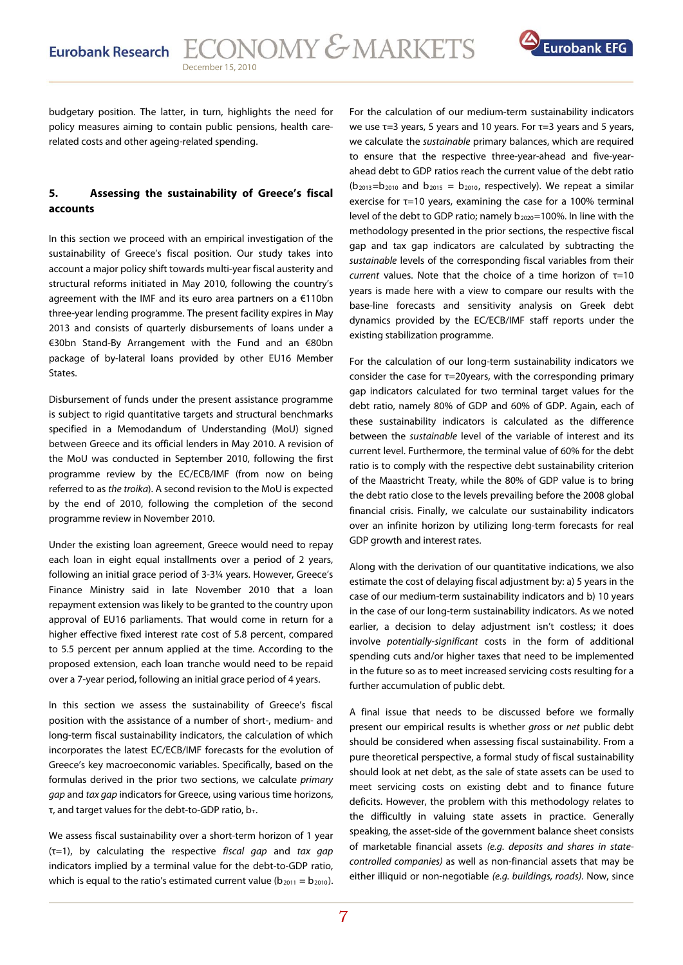

budgetary position. The latter, in turn, highlights the need for policy measures aiming to contain public pensions, health carerelated costs and other ageing-related spending.

### **5. Assessing the sustainability of Greece's fiscal accounts**

In this section we proceed with an empirical investigation of the sustainability of Greece's fiscal position. Our study takes into account a major policy shift towards multi-year fiscal austerity and structural reforms initiated in May 2010, following the country's agreement with the IMF and its euro area partners on a €110bn three-year lending programme. The present facility expires in May 2013 and consists of quarterly disbursements of loans under a €30bn Stand-By Arrangement with the Fund and an €80bn package of by-lateral loans provided by other EU16 Member States.

Disbursement of funds under the present assistance programme is subject to rigid quantitative targets and structural benchmarks specified in a Memodandum of Understanding (MoU) signed between Greece and its official lenders in May 2010. A revision of the MoU was conducted in September 2010, following the first programme review by the EC/ECB/IMF (from now on being referred to as the troika). A second revision to the MoU is expected by the end of 2010, following the completion of the second programme review in November 2010.

Under the existing loan agreement, Greece would need to repay each loan in eight equal installments over a period of 2 years, following an initial grace period of 3-3¼ years. However, Greece's Finance Ministry said in late November 2010 that a loan repayment extension was likely to be granted to the country upon approval of EU16 parliaments. That would come in return for a higher effective fixed interest rate cost of 5.8 percent, compared to 5.5 percent per annum applied at the time. According to the proposed extension, each loan tranche would need to be repaid over a 7-year period, following an initial grace period of 4 years.

In this section we assess the sustainability of Greece's fiscal position with the assistance of a number of short-, medium- and long-term fiscal sustainability indicators, the calculation of which incorporates the latest EC/ECB/IMF forecasts for the evolution of Greece's key macroeconomic variables. Specifically, based on the formulas derived in the prior two sections, we calculate primary gap and tax gap indicators for Greece, using various time horizons, τ, and target values for the debt-to-GDP ratio,  $b_{\tau}$ .

We assess fiscal sustainability over a short-term horizon of 1 year  $(\tau=1)$ , by calculating the respective fiscal gap and tax gap indicators implied by a terminal value for the debt-to-GDP ratio, which is equal to the ratio's estimated current value ( $b_{2011} = b_{2010}$ ).

For the calculation of our medium-term sustainability indicators we use  $τ=3$  years, 5 years and 10 years. For  $τ=3$  years and 5 years, we calculate the sustainable primary balances, which are required to ensure that the respective three-year-ahead and five-yearahead debt to GDP ratios reach the current value of the debt ratio  $(b_{2013}=b_{2010}$  and  $b_{2015} = b_{2010}$ , respectively). We repeat a similar exercise for τ=10 years, examining the case for a 100% terminal level of the debt to GDP ratio; namely  $b_{2020}=100\%$ . In line with the methodology presented in the prior sections, the respective fiscal gap and tax gap indicators are calculated by subtracting the sustainable levels of the corresponding fiscal variables from their current values. Note that the choice of a time horizon of  $\tau$ =10 years is made here with a view to compare our results with the base-line forecasts and sensitivity analysis on Greek debt dynamics provided by the EC/ECB/IMF staff reports under the existing stabilization programme.

For the calculation of our long-term sustainability indicators we consider the case for  $\tau$ =20years, with the corresponding primary gap indicators calculated for two terminal target values for the debt ratio, namely 80% of GDP and 60% of GDP. Again, each of these sustainability indicators is calculated as the difference between the sustainable level of the variable of interest and its current level. Furthermore, the terminal value of 60% for the debt ratio is to comply with the respective debt sustainability criterion of the Maastricht Treaty, while the 80% of GDP value is to bring the debt ratio close to the levels prevailing before the 2008 global financial crisis. Finally, we calculate our sustainability indicators over an infinite horizon by utilizing long-term forecasts for real GDP growth and interest rates.

Along with the derivation of our quantitative indications, we also estimate the cost of delaying fiscal adjustment by: a) 5 years in the case of our medium-term sustainability indicators and b) 10 years in the case of our long-term sustainability indicators. As we noted earlier, a decision to delay adjustment isn't costless; it does involve potentially-significant costs in the form of additional spending cuts and/or higher taxes that need to be implemented in the future so as to meet increased servicing costs resulting for a further accumulation of public debt.

A final issue that needs to be discussed before we formally present our empirical results is whether gross or net public debt should be considered when assessing fiscal sustainability. From a pure theoretical perspective, a formal study of fiscal sustainability should look at net debt, as the sale of state assets can be used to meet servicing costs on existing debt and to finance future deficits. However, the problem with this methodology relates to the difficultly in valuing state assets in practice. Generally speaking, the asset-side of the government balance sheet consists of marketable financial assets (e.g. deposits and shares in statecontrolled companies) as well as non-financial assets that may be either illiquid or non-negotiable (e.g. buildings, roads). Now, since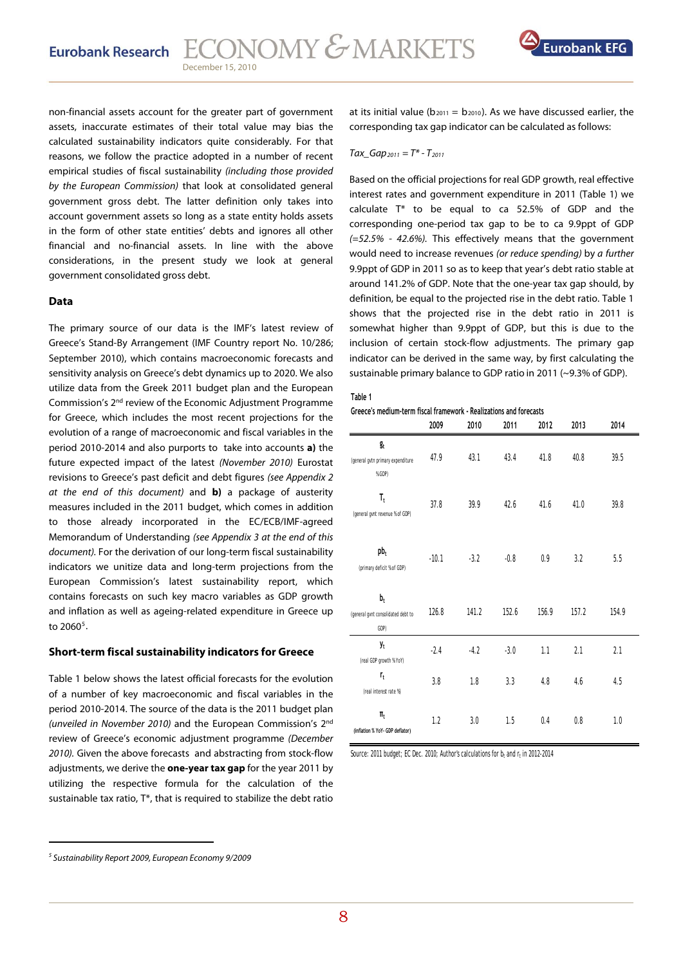

non-financial assets account for the greater part of government assets, inaccurate estimates of their total value may bias the calculated sustainability indicators quite considerably. For that reasons, we follow the practice adopted in a number of recent empirical studies of fiscal sustainability (including those provided by the European Commission) that look at consolidated general government gross debt. The latter definition only takes into account government assets so long as a state entity holds assets in the form of other state entities' debts and ignores all other financial and no-financial assets. In line with the above considerations, in the present study we look at general government consolidated gross debt.

### **Data**

The primary source of our data is the IMF's latest review of Greece's Stand-By Arrangement (IMF Country report No. 10/286; September 2010), which contains macroeconomic forecasts and sensitivity analysis on Greece's debt dynamics up to 2020. We also utilize data from the Greek 2011 budget plan and the European Commission's 2nd review of the Economic Adjustment Programme for Greece, which includes the most recent projections for the evolution of a range of macroeconomic and fiscal variables in the period 2010-2014 and also purports to take into accounts **a)** the future expected impact of the latest (November 2010) Eurostat revisions to Greece's past deficit and debt figures (see Appendix 2 at the end of this document) and **b)** a package of austerity measures included in the 2011 budget, which comes in addition to those already incorporated in the EC/ECB/IMF-agreed Memorandum of Understanding (see Appendix 3 at the end of this document). For the derivation of our long-term fiscal sustainability indicators we unitize data and long-term projections from the European Commission's latest sustainability report, which contains forecasts on such key macro variables as GDP growth and inflation as well as ageing-related expenditure in Greece up to 2060<sup>[5](#page-7-0)</sup>.

### **Short-term fiscal sustainability indicators for Greece**

Table 1 below shows the latest official forecasts for the evolution of a number of key macroeconomic and fiscal variables in the period 2010-2014. The source of the data is the 2011 budget plan (unveiled in November 2010) and the European Commission's 2nd review of Greece's economic adjustment programme (December 2010). Given the above forecasts and abstracting from stock-flow adjustments, we derive the **one-year tax gap** for the year 2011 by utilizing the respective formula for the calculation of the sustainable tax ratio, T\*, that is required to stabilize the debt ratio

at its initial value ( $b_{2011} = b_{2010}$ ). As we have discussed earlier, the corresponding tax gap indicator can be calculated as follows:

### $Tax\_Gap_{2011} = T^* - T_{2011}$

Based on the official projections for real GDP growth, real effective interest rates and government expenditure in 2011 (Table 1) we calculate T\* to be equal to ca 52.5% of GDP and the corresponding one-period tax gap to be to ca 9.9ppt of GDP (=52.5% - 42.6%). This effectively means that the government would need to increase revenues (or reduce spending) by a further 9.9ppt of GDP in 2011 so as to keep that year's debt ratio stable at around 141.2% of GDP. Note that the one-year tax gap should, by definition, be equal to the projected rise in the debt ratio. Table 1 shows that the projected rise in the debt ratio in 2011 is somewhat higher than 9.9ppt of GDP, but this is due to the inclusion of certain stock-flow adjustments. The primary gap indicator can be derived in the same way, by first calculating the sustainable primary balance to GDP ratio in 2011 (~9.3% of GDP).

#### **Table 1**

### **Greece's medium-term fiscal framework - Realizations and forecasts**

|                                                      | 2009    | 2010   | 2011   | 2012  | 2013  | 2014  |
|------------------------------------------------------|---------|--------|--------|-------|-------|-------|
| $g_t$<br>(general gytn primary expenditure<br>% GDP) | 47.9    | 43.1   | 43.4   | 41.8  | 40.8  | 39.5  |
| $\mathbf{T_t}$<br>(general gynt revenue % of GDP)    | 37.8    | 39.9   | 42.6   | 41.6  | 41.0  | 39.8  |
| $pb_t$<br>(primary deficit % of GDP)                 | $-10.1$ | $-3.2$ | $-0.8$ | 0.9   | 3.2   | 5.5   |
| $b_t$<br>(general gvnt consolidated debt to<br>GDP)  | 126.8   | 141.2  | 152.6  | 156.9 | 157.2 | 154.9 |
| y <sub>t</sub><br>(real GDP growth % YoY)            | $-2.4$  | $-4.2$ | $-3.0$ | 1.1   | 2.1   | 2.1   |
| $r_{t}$<br>(real interest rate %)                    | 3.8     | 1.8    | 3.3    | 4.8   | 4.6   | 4.5   |
| $\Pi_t$<br>(inflation % YoY- GDP deflator)           | 1.2     | 3.0    | 1.5    | 0.4   | 0.8   | 1.0   |

Source: 2011 budget; EC Dec. 2010; Author's calculations for  $b_t$  and  $r_t$  in 2012-2014

<span id="page-7-0"></span><sup>5</sup> Sustainability Report 2009, European Economy 9/2009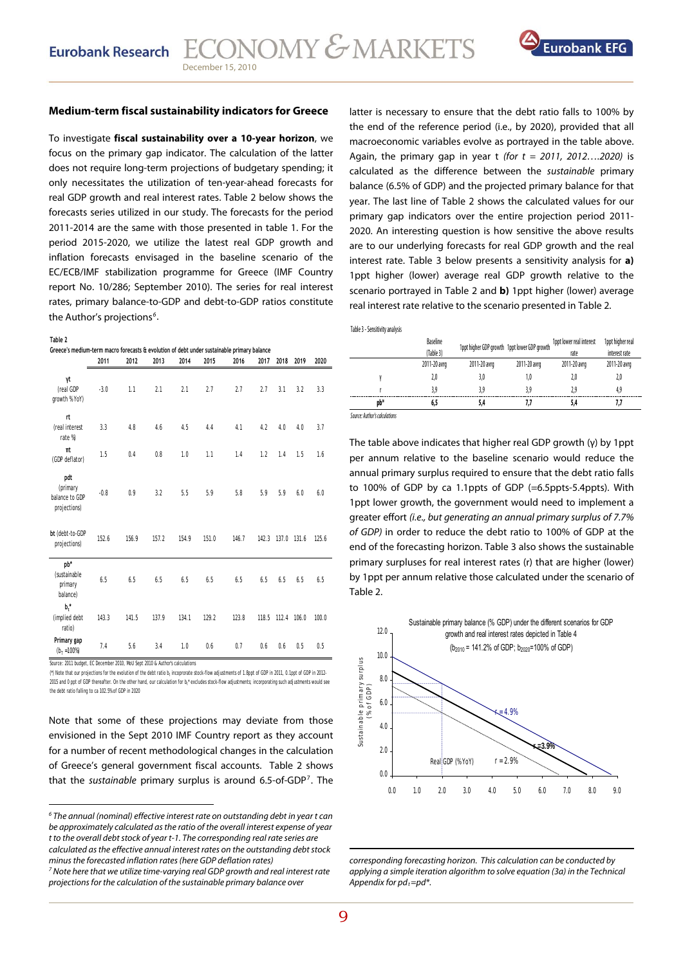

### **Medium-term fiscal sustainability indicators for Greece**

To investigate **fiscal sustainability over a 10-year horizon**, we focus on the primary gap indicator. The calculation of the latter does not require long-term projections of budgetary spending; it only necessitates the utilization of ten-year-ahead forecasts for real GDP growth and real interest rates. Table 2 below shows the forecasts series utilized in our study. The forecasts for the period 2011-2014 are the same with those presented in table 1. For the period 2015-2020, we utilize the latest real GDP growth and inflation forecasts envisaged in the baseline scenario of the EC/ECB/IMF stabilization programme for Greece (IMF Country report No. 10/286; September 2010). The series for real interest rates, primary balance-to-GDP and debt-to-GDP ratios constitute the Author's projections<sup>[6](#page-8-0)</sup>.

**Table 2**

**Greece's medium-term macro forecasts & evolution of debt under sustainable primary balance** 

|                                                                              | 2011   | 2012  | 2013  | 2014  | 2015  | 2016  | 2017  | 2018  | 2019  | 2020  |
|------------------------------------------------------------------------------|--------|-------|-------|-------|-------|-------|-------|-------|-------|-------|
| γt<br>(real GDP<br>growth % YoY)                                             | $-3.0$ | 1.1   | 2.1   | 2.1   | 2.7   | 2.7   | 2.7   | 3.1   | 3.2   | 3.3   |
| $\mathsf{r}$<br>(real interest<br>rate %)                                    | 3.3    | 4.8   | 4.6   | 4.5   | 4.4   | 4.1   | 4.2   | 4.0   | 4.0   | 3.7   |
| $\pi t$<br>(GDP deflator)                                                    | 1.5    | 0.4   | 0.8   | 1.0   | 1.1   | 1.4   | 1.2   | 1.4   | 1.5   | 1.6   |
| pdt<br>(primary<br>balance to GDP<br>projections)                            | $-0.8$ | 0.9   | 3.2   | 5.5   | 5.9   | 5.8   | 5.9   | 5.9   | 6.0   | 6.0   |
| bt (debt-to-GDP<br>projections)                                              | 152.6  | 156.9 | 157.2 | 154.9 | 151.0 | 146.7 | 142.3 | 137.0 | 131.6 | 125.6 |
| pb*<br>(sustainable<br>primary<br>balance)                                   | 6.5    | 6.5   | 6.5   | 6.5   | 6.5   | 6.5   | 6.5   | 6.5   | 6.5   | 6.5   |
| $b^*$<br>(implied debt<br>ratio)                                             | 143.3  | 141.5 | 137.9 | 134.1 | 129.2 | 123.8 | 118.5 | 112.4 | 106.0 | 100.0 |
| Primary gap<br>$(b_T = 100\%)$                                               | 7.4    | 5.6   | 3.4   | 1.0   | 0.6   | 0.7   | 0.6   | 0.6   | 0.5   | 0.5   |
| Source: 2011 budget, EC December 2010, MoU Sept 2010 & Author's calculations |        |       |       |       |       |       |       |       |       |       |

(\*) Note that our projections for the evolution of the debt ratio b, incoprorate stock-flow adjustments of 1.8ppt of GDP in 2011, 0.1ppt of GDP in 2012-. . .<br>2015 and 0 ppt of GDP thereafter. On the other hand, our calculation for b,\* excludes stock-flow adjustments; incorporating such adjustments would see the debt ratio falling to ca 102.5% of GDP in 2020

Note that some of these projections may deviate from those envisioned in the Sept 2010 IMF Country report as they account for a number of recent methodological changes in the calculation of Greece's general government fiscal accounts. Table 2 shows that the sustainable primary surplus is around 6.5-of-GDP[7](#page-8-1). The

latter is necessary to ensure that the debt ratio falls to 100% by the end of the reference period (i.e., by 2020), provided that all macroeconomic variables evolve as portrayed in the table above. Again, the primary gap in year t (for  $t = 2011$ , 2012....2020) is calculated as the difference between the sustainable primary balance (6.5% of GDP) and the projected primary balance for that year. The last line of Table 2 shows the calculated values for our primary gap indicators over the entire projection period 2011- 2020. An interesting question is how sensitive the above results are to our underlying forecasts for real GDP growth and the real interest rate. Table 3 below presents a sensitivity analysis for **a)** 1ppt higher (lower) average real GDP growth relative to the scenario portrayed in Table 2 and **b)** 1ppt higher (lower) average real interest rate relative to the scenario presented in Table 2.

| Table 3 - Sensitivity analysis |  |
|--------------------------------|--|
|                                |  |

|                               | <b>Baseline</b><br>(Table 3) | 1ppt higher GDP growth 1ppt lower GDP growth |              | 1ppt lower real interest<br>rate | 1ppt higher real<br>interest rate |
|-------------------------------|------------------------------|----------------------------------------------|--------------|----------------------------------|-----------------------------------|
|                               | 2011-20 avrg                 | 2011-20 avrg                                 | 2011-20 avrg | 2011-20 avrg                     | 2011-20 avrg                      |
|                               | 2,0                          | 3,0                                          | 1,0          | 2,0                              | 2,0                               |
|                               | 3.9                          | 3.9                                          | 3.9          | 2.9                              | 4.9                               |
| pb*                           | 6.5                          | 5.4                                          | 7.7          | 5.4                              |                                   |
| Source: Author's calculations |                              |                                              |              |                                  |                                   |

The table above indicates that higher real GDP growth (γ) by 1ppt per annum relative to the baseline scenario would reduce the annual primary surplus required to ensure that the debt ratio falls to 100% of GDP by ca 1.1ppts of GDP (=6.5ppts-5.4ppts). With 1ppt lower growth, the government would need to implement a greater effort (i.e., but generating an annual primary surplus of 7.7% of GDP) in order to reduce the debt ratio to 100% of GDP at the end of the forecasting horizon. Table 3 also shows the sustainable primary surpluses for real interest rates (r) that are higher (lower) by 1ppt per annum relative those calculated under the scenario of Table 2.



corresponding forecasting horizon. This calculation can be conducted by applying a simple iteration algorithm to solve equation (3a) in the Technical Appendix for  $pd<sub>t</sub>=pd<sup>*</sup>$ .

<u> Andrewski program i svjetski programati i svoji s objavlja u svoji s objavlja u središtu u središtu u središtu</u>

<span id="page-8-0"></span> $6$  The annual (nominal) effective interest rate on outstanding debt in year t can be approximately calculated as the ratio of the overall interest expense of year t to the overall debt stock of year t-1. The corresponding real rate series are calculated as the effective annual interest rates on the outstanding debt stock minus the forecasted inflation rates (here GDP deflation rates)

<span id="page-8-1"></span> $^7$  Note here that we utilize time-varying real GDP growth and real interest rate projections for the calculation of the sustainable primary balance over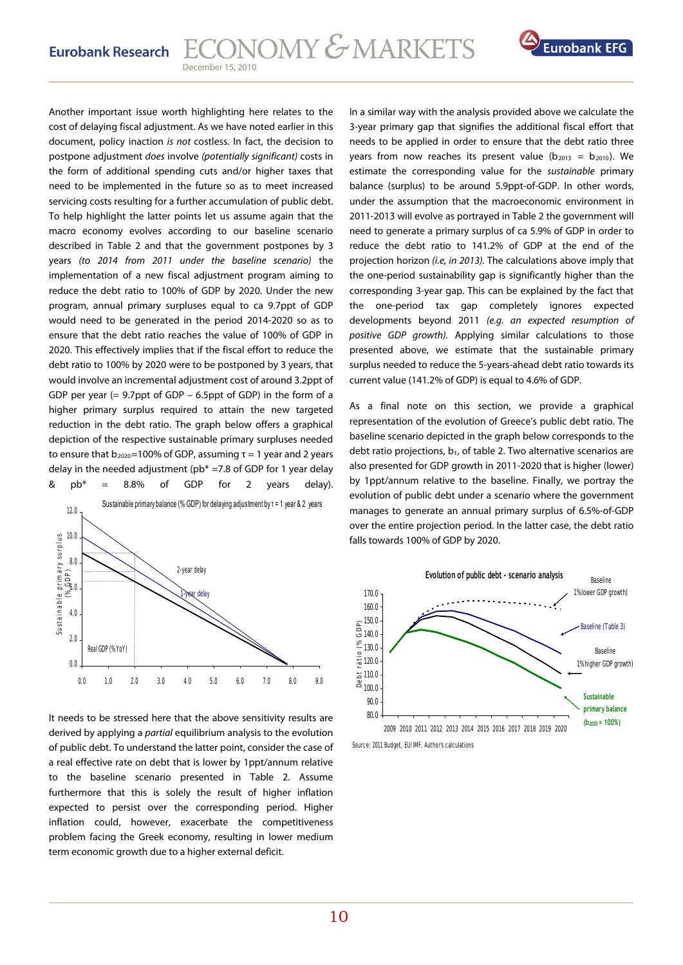

Another important issue worth highlighting here relates to the cost of delaying fiscal adjustment. As we have noted earlier in this document, policy inaction is not costless. In fact, the decision to postpone adjustment does involve (potentially significant) costs in the form of additional spending cuts and/or higher taxes that need to be implemented in the future so as to meet increased servicing costs resulting for a further accumulation of public debt. To help highlight the latter points let us assume again that the macro economy evolves according to our baseline scenario described in Table 2 and that the government postpones by 3 years (to 2014 from 2011 under the baseline scenario) the implementation of a new fiscal adjustment program aiming to reduce the debt ratio to 100% of GDP by 2020. Under the new program, annual primary surpluses equal to ca 9.7ppt of GDP would need to be generated in the period 2014-2020 so as to ensure that the debt ratio reaches the value of 100% of GDP in 2020. This effectively implies that if the fiscal effort to reduce the debt ratio to 100% by 2020 were to be postponed by 3 years, that would involve an incremental adjustment cost of around 3.2ppt of GDP per year (= 9.7ppt of GDP – 6.5ppt of GDP) in the form of a higher primary surplus required to attain the new targeted reduction in the debt ratio. The graph below offers a graphical depiction of the respective sustainable primary surpluses needed to ensure that  $b_{2020}$ =100% of GDP, assuming τ = 1 year and 2 years delay in the needed adjustment ( $pb* = 7.8$  of GDP for 1 year delay &  $pb^* = 8.8\%$  of GDP for 2 years delay).



It needs to be stressed here that the above sensitivity results are derived by applying a *partial* equilibrium analysis to the evolution of public debt. To understand the latter point, consider the case of a real effective rate on debt that is lower by 1ppt/annum relative to the baseline scenario presented in Table 2. Assume furthermore that this is solely the result of higher inflation expected to persist over the corresponding period. Higher inflation could, however, exacerbate the competitiveness problem facing the Greek economy, resulting in lower medium term economic growth due to a higher external deficit.

In a similar way with the analysis provided above we calculate the 3-year primary gap that signifies the additional fiscal effort that needs to be applied in order to ensure that the debt ratio three years from now reaches its present value ( $b_{2013} = b_{2010}$ ). We estimate the corresponding value for the sustainable primary balance (surplus) to be around 5.9ppt-of-GDP. In other words, under the assumption that the macroeconomic environment in 2011-2013 will evolve as portrayed in Table 2 the government will need to generate a primary surplus of ca 5.9% of GDP in order to reduce the debt ratio to 141.2% of GDP at the end of the projection horizon (i.e, in 2013). The calculations above imply that the one-period sustainability gap is significantly higher than the corresponding 3-year gap. This can be explained by the fact that the one-period tax gap completely ignores expected developments beyond 2011 (e.g. an expected resumption of positive GDP growth). Applying similar calculations to those presented above, we estimate that the sustainable primary surplus needed to reduce the 5-years-ahead debt ratio towards its current value (141.2% of GDP) is equal to 4.6% of GDP.

As a final note on this section, we provide a graphical representation of the evolution of Greece's public debt ratio. The baseline scenario depicted in the graph below corresponds to the debt ratio projections,  $b_t$ , of table 2. Two alternative scenarios are also presented for GDP growth in 2011-2020 that is higher (lower) by 1ppt/annum relative to the baseline. Finally, we portray the evolution of public debt under a scenario where the government manages to generate an annual primary surplus of 6.5%-of-GDP over the entire projection period. In the latter case, the debt ratio falls towards 100% of GDP by 2020.



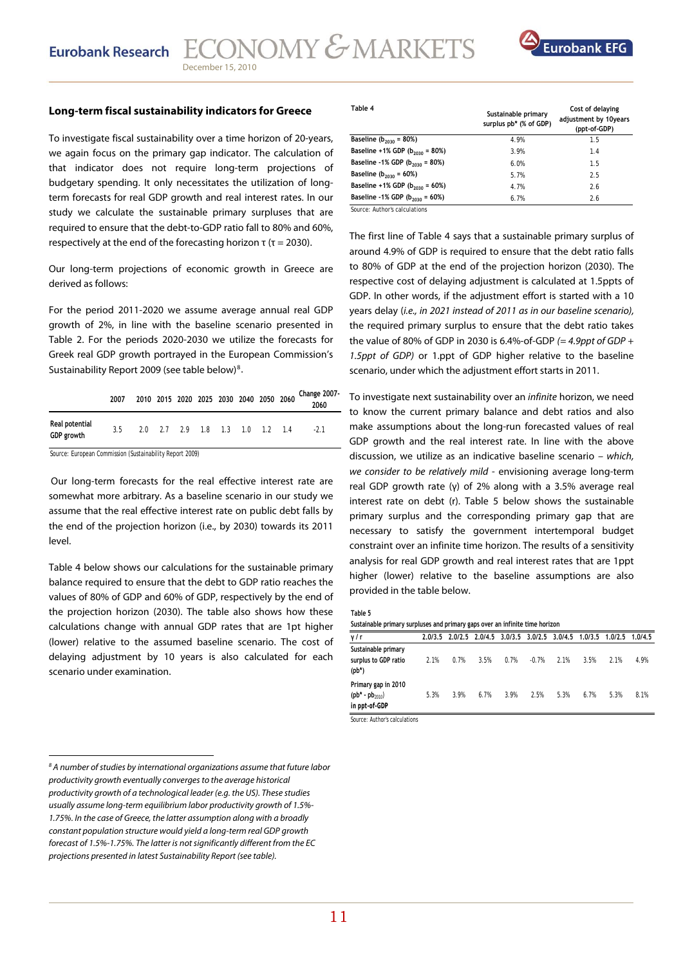

### **Long-term fiscal sustainability indicators for Greece**

To investigate fiscal sustainability over a time horizon of 20-years, we again focus on the primary gap indicator. The calculation of that indicator does not require long-term projections of budgetary spending. It only necessitates the utilization of longterm forecasts for real GDP growth and real interest rates. In our study we calculate the sustainable primary surpluses that are required to ensure that the debt-to-GDP ratio fall to 80% and 60%, respectively at the end of the forecasting horizon  $\tau$  ( $\tau$  = 2030).

Our long-term projections of economic growth in Greece are derived as follows:

For the period 2011-2020 we assume average annual real GDP growth of 2%, in line with the baseline scenario presented in Table 2. For the periods 2020-2030 we utilize the forecasts for Greek real GDP growth portrayed in the European Commission's Sustainability Report 2009 (see table below)<sup>[8](#page-10-0)</sup>.

|                              | 2007 |  | 2010 2015 2020 2025 2030 2040 2050 2060 |  |  | Change 2007-<br>2060 |
|------------------------------|------|--|-----------------------------------------|--|--|----------------------|
| Real potential<br>GDP growth | 35   |  | 2.0 2.7 2.9 1.8 1.3 1.0 1.2 1.4         |  |  | $-21$                |
|                              |      |  |                                         |  |  |                      |

Source: European Commission (Sustainability Report 2009)

 Our long-term forecasts for the real effective interest rate are somewhat more arbitrary. As a baseline scenario in our study we assume that the real effective interest rate on public debt falls by the end of the projection horizon (i.e., by 2030) towards its 2011 level.

Table 4 below shows our calculations for the sustainable primary balance required to ensure that the debt to GDP ratio reaches the values of 80% of GDP and 60% of GDP, respectively by the end of the projection horizon (2030). The table also shows how these calculations change with annual GDP rates that are 1pt higher (lower) relative to the assumed baseline scenario. The cost of delaying adjustment by 10 years is also calculated for each scenario under examination.

| Table 4                                   | Sustainable primary<br>surplus pb* (% of GDP) | Cost of delaying<br>adjustment by 10years<br>(ppt-of-GDP) |  |  |
|-------------------------------------------|-----------------------------------------------|-----------------------------------------------------------|--|--|
| Baseline ( $b_{2030}$ = 80%)              | 4.9%                                          | 1.5                                                       |  |  |
| Baseline +1% GDP $(b_{2030} = 80%)$       | 3.9%                                          | 1.4                                                       |  |  |
| Baseline -1% GDP ( $b_{2030}$ = 80%)      | 6.0%                                          | 1.5                                                       |  |  |
| Baseline ( $b_{2030}$ = 60%)              | 5.7%                                          | 2.5                                                       |  |  |
| Baseline +1% GDP $(b_{2030} = 60%)$       | 4.7%                                          | 2.6                                                       |  |  |
| Baseline -1% GDP ( $b_{2030}$ = 60%)<br>. | 6.7%                                          | 2.6                                                       |  |  |

Source: Author's calculations

The first line of Table 4 says that a sustainable primary surplus of around 4.9% of GDP is required to ensure that the debt ratio falls to 80% of GDP at the end of the projection horizon (2030). The respective cost of delaying adjustment is calculated at 1.5ppts of GDP. In other words, if the adjustment effort is started with a 10 years delay (i.e., in 2021 instead of 2011 as in our baseline scenario), the required primary surplus to ensure that the debt ratio takes the value of 80% of GDP in 2030 is 6.4%-of-GDP  $(= 4.9 \text{ppt of GDP} +$ 1.5ppt of GDP) or 1.ppt of GDP higher relative to the baseline scenario, under which the adjustment effort starts in 2011.

To investigate next sustainability over an infinite horizon, we need to know the current primary balance and debt ratios and also make assumptions about the long-run forecasted values of real GDP growth and the real interest rate. In line with the above discussion, we utilize as an indicative baseline scenario – which, we consider to be relatively mild - envisioning average long-term real GDP growth rate (γ) of 2% along with a 3.5% average real interest rate on debt (r). Table 5 below shows the sustainable primary surplus and the corresponding primary gap that are necessary to satisfy the government intertemporal budget constraint over an infinite time horizon. The results of a sensitivity analysis for real GDP growth and real interest rates that are 1ppt higher (lower) relative to the baseline assumptions are also provided in the table below.

|--|--|

| Sustainable primary surpluses and primary gaps over an infinite time horizon |      |      |      |      |         |                                                                         |      |      |      |  |
|------------------------------------------------------------------------------|------|------|------|------|---------|-------------------------------------------------------------------------|------|------|------|--|
| γ/r                                                                          |      |      |      |      |         | 2.0/3.5 2.0/2.5 2.0/4.5 3.0/3.5 3.0/2.5 3.0/4.5 1.0/3.5 1.0/2.5 1.0/4.5 |      |      |      |  |
| Sustainable primary<br>surplus to GDP ratio<br>$(pb*)$                       | 2.1% | 0.7% | 3.5% | 0.7% | $-0.7%$ | 2.1%                                                                    | 3.5% | 2.1% | 4.9% |  |
| Primary gap in 2010<br>$(pb^* - pb_{2010})$<br>in ppt-of-GDP                 | 5.3% | 3.9% | 6.7% | 3.9% | 2.5%    | 5.3%                                                                    | 6.7% | 5.3% | 8.1% |  |
| .                                                                            |      |      |      |      |         |                                                                         |      |      |      |  |

Source: Author's calculations

<span id="page-10-0"></span> $^8$  A number of studies by international organizations assume that future labor productivity growth eventually converges to the average historical productivity growth of a technological leader (e.g. the US). These studies usually assume long-term equilibrium labor productivity growth of 1.5%- 1.75%. In the case of Greece, the latter assumption along with a broadly constant population structure would yield a long-term real GDP growth forecast of 1.5%-1.75%. The latter is not significantly different from the EC projections presented in latest Sustainability Report (see table).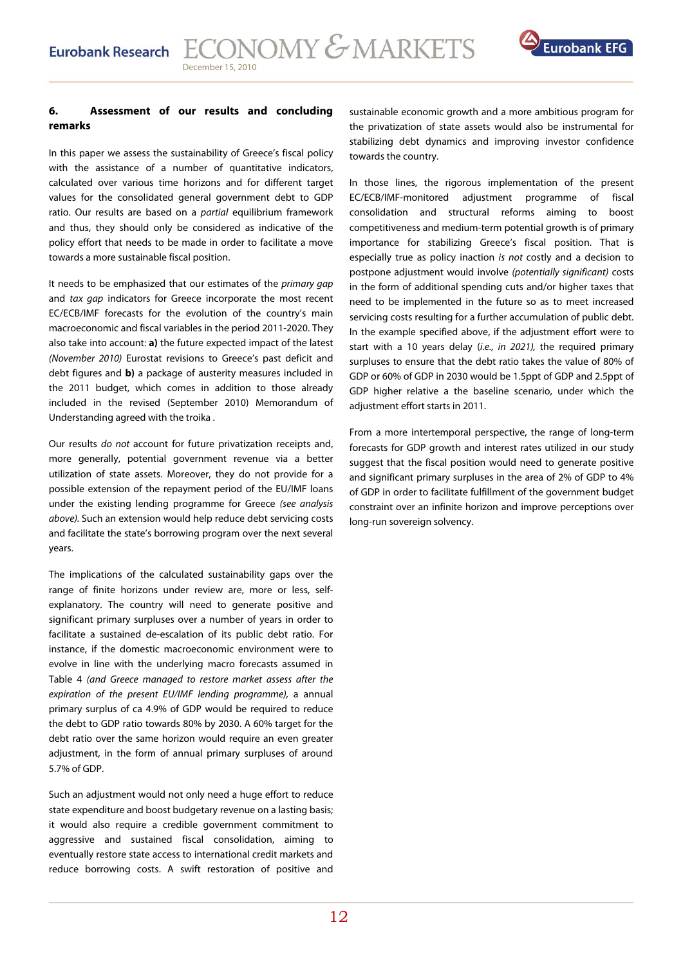

### **6. Assessment of our results and concluding remarks**

In this paper we assess the sustainability of Greece's fiscal policy with the assistance of a number of quantitative indicators, calculated over various time horizons and for different target values for the consolidated general government debt to GDP ratio. Our results are based on a *partial* equilibrium framework and thus, they should only be considered as indicative of the policy effort that needs to be made in order to facilitate a move towards a more sustainable fiscal position.

It needs to be emphasized that our estimates of the primary gap and tax gap indicators for Greece incorporate the most recent EC/ECB/IMF forecasts for the evolution of the country's main macroeconomic and fiscal variables in the period 2011-2020. They also take into account: **a)** the future expected impact of the latest (November 2010) Eurostat revisions to Greece's past deficit and debt figures and **b)** a package of austerity measures included in the 2011 budget, which comes in addition to those already included in the revised (September 2010) Memorandum of Understanding agreed with the troika .

Our results do not account for future privatization receipts and, more generally, potential government revenue via a better utilization of state assets. Moreover, they do not provide for a possible extension of the repayment period of the EU/IMF loans under the existing lending programme for Greece (see analysis above). Such an extension would help reduce debt servicing costs and facilitate the state's borrowing program over the next several years.

The implications of the calculated sustainability gaps over the range of finite horizons under review are, more or less, selfexplanatory. The country will need to generate positive and significant primary surpluses over a number of years in order to facilitate a sustained de-escalation of its public debt ratio. For instance, if the domestic macroeconomic environment were to evolve in line with the underlying macro forecasts assumed in Table 4 (and Greece managed to restore market assess after the expiration of the present EU/IMF lending programme), a annual primary surplus of ca 4.9% of GDP would be required to reduce the debt to GDP ratio towards 80% by 2030. A 60% target for the debt ratio over the same horizon would require an even greater adjustment, in the form of annual primary surpluses of around 5.7% of GDP.

Such an adjustment would not only need a huge effort to reduce state expenditure and boost budgetary revenue on a lasting basis; it would also require a credible government commitment to aggressive and sustained fiscal consolidation, aiming to eventually restore state access to international credit markets and reduce borrowing costs. A swift restoration of positive and

sustainable economic growth and a more ambitious program for the privatization of state assets would also be instrumental for stabilizing debt dynamics and improving investor confidence towards the country.

In those lines, the rigorous implementation of the present EC/ECB/IMF-monitored adjustment programme of fiscal consolidation and structural reforms aiming to boost competitiveness and medium-term potential growth is of primary importance for stabilizing Greece's fiscal position. That is especially true as policy inaction is not costly and a decision to postpone adjustment would involve (potentially significant) costs in the form of additional spending cuts and/or higher taxes that need to be implemented in the future so as to meet increased servicing costs resulting for a further accumulation of public debt. In the example specified above, if the adjustment effort were to start with a 10 years delay (i.e., in 2021), the required primary surpluses to ensure that the debt ratio takes the value of 80% of GDP or 60% of GDP in 2030 would be 1.5ppt of GDP and 2.5ppt of GDP higher relative a the baseline scenario, under which the adjustment effort starts in 2011.

From a more intertemporal perspective, the range of long-term forecasts for GDP growth and interest rates utilized in our study suggest that the fiscal position would need to generate positive and significant primary surpluses in the area of 2% of GDP to 4% of GDP in order to facilitate fulfillment of the government budget constraint over an infinite horizon and improve perceptions over long-run sovereign solvency.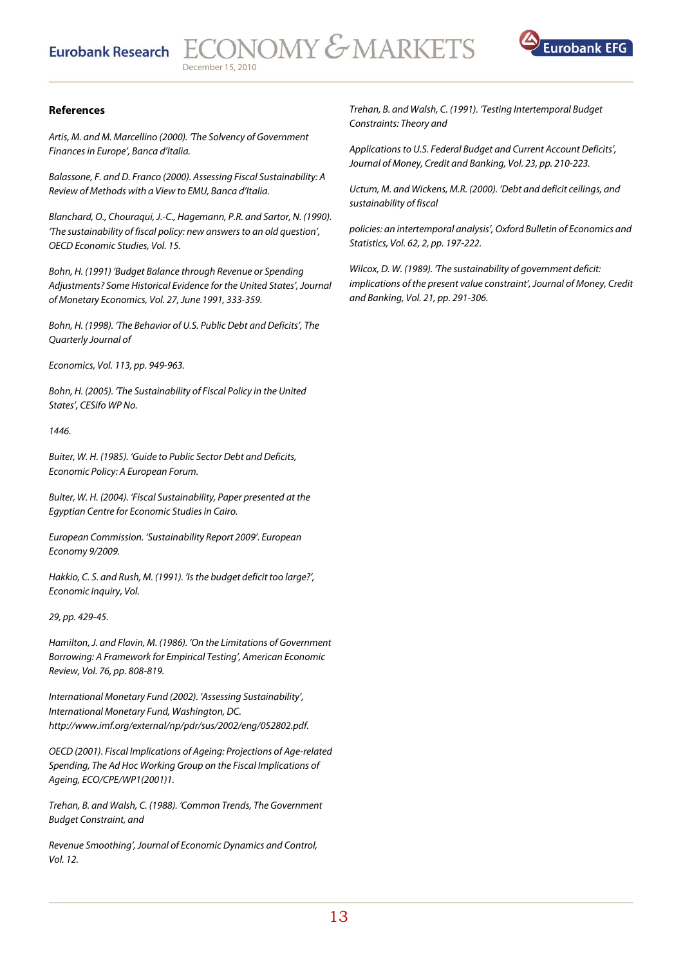### **Eurobank Research**



### **References**

Artis, M. and M. Marcellino (2000). 'The Solvency of Government Finances in Europe', Banca d'Italia.

Balassone, F. and D. Franco (2000). Assessing Fiscal Sustainability: A Review of Methods with a View to EMU, Banca d'Italia.

Blanchard, O., Chouraqui, J.-C., Hagemann, P.R. and Sartor, N. (1990). 'The sustainability of fiscal policy: new answers to an old question', OECD Economic Studies, Vol. 15.

Bohn, H. (1991) 'Budget Balance through Revenue or Spending Adjustments? Some Historical Evidence for the United States', Journal of Monetary Economics, Vol. 27, June 1991, 333-359.

Bohn, H. (1998). 'The Behavior of U.S. Public Debt and Deficits', The Quarterly Journal of

Economics, Vol. 113, pp. 949-963.

Bohn, H. (2005). 'The Sustainability of Fiscal Policy in the United States', CESifo WP No.

1446.

Buiter, W. H. (1985). 'Guide to Public Sector Debt and Deficits, Economic Policy: A European Forum.

Buiter, W. H. (2004). 'Fiscal Sustainability, Paper presented at the Egyptian Centre for Economic Studies in Cairo.

European Commission. 'Sustainability Report 2009'. European Economy 9/2009.

Hakkio, C. S. and Rush, M. (1991). 'Is the budget deficit too large?', Economic Inquiry, Vol.

29, pp. 429-45.

Hamilton, J. and Flavin, M. (1986). 'On the Limitations of Government Borrowing: A Framework for Empirical Testing', American Economic Review, Vol. 76, pp. 808-819.

International Monetary Fund (2002). 'Assessing Sustainability', International Monetary Fund, Washington, DC. http://www.imf.org/external/np/pdr/sus/2002/eng/052802.pdf.

OECD (2001). Fiscal Implications of Ageing: Projections of Age-related Spending, The Ad Hoc Working Group on the Fiscal Implications of Ageing, ECO/CPE/WP1(2001)1.

Trehan, B. and Walsh, C. (1988). 'Common Trends, The Government Budget Constraint, and

Revenue Smoothing', Journal of Economic Dynamics and Control, Vol. 12.

Trehan, B. and Walsh, C. (1991). 'Testing Intertemporal Budget Constraints: Theory and

Applications to U.S. Federal Budget and Current Account Deficits', Journal of Money, Credit and Banking, Vol. 23, pp. 210-223.

Uctum, M. and Wickens, M.R. (2000). 'Debt and deficit ceilings, and sustainability of fiscal

policies: an intertemporal analysis', Oxford Bulletin of Economics and Statistics, Vol. 62, 2, pp. 197-222.

Wilcox, D. W. (1989). 'The sustainability of government deficit: implications of the present value constraint', Journal of Money, Credit and Banking, Vol. 21, pp. 291-306.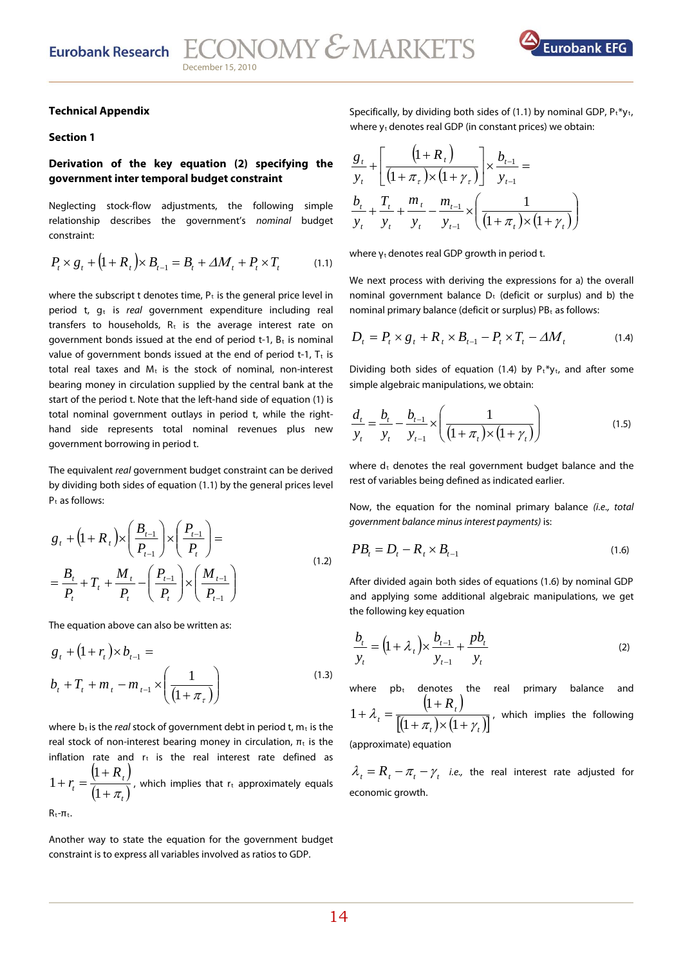

### **Technical Appendix**

### **Section 1**

### **Derivation of the key equation (2) specifying the government inter temporal budget constraint**

Neglecting stock-flow adjustments, the following simple relationship describes the government's nominal budget constraint:

$$
P_t \times g_t + (1 + R_t) \times B_{t-1} = B_t + \Delta M_t + P_t \times T_t \tag{1.1}
$$

where the subscript t denotes time,  $P_t$  is the general price level in period t,  $g_t$  is real government expenditure including real transfers to households,  $R_t$  is the average interest rate on government bonds issued at the end of period  $t-1$ ,  $B_t$  is nominal value of government bonds issued at the end of period t-1,  $T_t$  is total real taxes and  $M_t$  is the stock of nominal, non-interest bearing money in circulation supplied by the central bank at the start of the period t. Note that the left-hand side of equation (1) is total nominal government outlays in period t, while the righthand side represents total nominal revenues plus new government borrowing in period t.

The equivalent real government budget constraint can be derived by dividing both sides of equation (1.1) by the general prices level  $P_t$  as follows:

$$
g_{t} + (1 + R_{t}) \times \left(\frac{B_{t-1}}{P_{t-1}}\right) \times \left(\frac{P_{t-1}}{P_{t}}\right) =
$$
  
=  $\frac{B_{t}}{P_{t}} + T_{t} + \frac{M_{t}}{P_{t}} - \left(\frac{P_{t-1}}{P_{t}}\right) \times \left(\frac{M_{t-1}}{P_{t-1}}\right)$  (1.2)

The equation above can also be written as:

$$
g_{t} + (1 + r_{t}) \times b_{t-1} =
$$
  

$$
b_{t} + T_{t} + m_{t} - m_{t-1} \times \left(\frac{1}{(1 + \pi_{\tau})}\right)
$$
 (1.3)

where  $b_t$  is the *real* stock of government debt in period t,  $m_t$  is the real stock of non-interest bearing money in circulation,  $\pi_t$  is the inflation rate and  $r_t$  is the real interest rate defined as  $(1 + R_{1})$  $(1+\pi)$ *t t R r*  $+ \pi$  $\ddot{}$  $+r_{t} =$  $\left( \frac{1}{2} \right)$ 1  $1 + r_t = \frac{(1 + 1) \epsilon_t}{(1 + 1) \epsilon_t}$ , which implies that r<sub>t</sub> approximately equals

 $R_{t}$ - $\pi_{t}$ .

Another way to state the equation for the government budget constraint is to express all variables involved as ratios to GDP.

Specifically, by dividing both sides of (1.1) by nominal GDP,  $P_t * y_t$ , where  $y_t$  denotes real GDP (in constant prices) we obtain:

$$
\frac{g_t}{y_t} + \left[ \frac{\left(1 + R_t\right)}{\left(1 + \pi_\tau\right) \times \left(1 + \gamma_\tau\right)} \right] \times \frac{b_{t-1}}{y_{t-1}} =
$$
\n
$$
\frac{b_t}{y_t} + \frac{T_t}{y_t} + \frac{m_t}{y_t} - \frac{m_{t-1}}{y_{t-1}} \times \left( \frac{1}{\left(1 + \pi_t\right) \times \left(1 + \gamma_t\right)} \right)
$$

where  $y_t$  denotes real GDP growth in period t.

We next process with deriving the expressions for a) the overall nominal government balance  $D_t$  (deficit or surplus) and b) the nominal primary balance (deficit or surplus)  $PB<sub>t</sub>$  as follows:

$$
D_t = P_t \times g_t + R_t \times B_{t-1} - P_t \times T_t - \Delta M_t \tag{1.4}
$$

Dividing both sides of equation (1.4) by  $P_t * y_t$ , and after some simple algebraic manipulations, we obtain:

$$
\frac{d_t}{y_t} = \frac{b_t}{y_t} - \frac{b_{t-1}}{y_{t-1}} \times \left( \frac{1}{(1 + \pi_t) \times (1 + \gamma_t)} \right)
$$
(1.5)

where  $d_t$  denotes the real government budget balance and the rest of variables being defined as indicated earlier.

Now, the equation for the nominal primary balance (i.e., total government balance minus interest payments) is:

$$
PB_t = D_t - R_t \times B_{t-1} \tag{1.6}
$$

After divided again both sides of equations (1.6) by nominal GDP and applying some additional algebraic manipulations, we get the following key equation

$$
\frac{b_t}{y_t} = \left(1 + \lambda_t\right) \times \frac{b_{t-1}}{y_{t-1}} + \frac{pb_t}{y_t}
$$
\n(2)

where  $pb<sub>t</sub>$  denotes the real primary balance and  $(1 + R_{_T})$  $[(1+\pi_t)\times(1+\gamma_t)]$ *t t R*  $\pi$ ,  $)\times$  (1 +  $\gamma$  $\lambda_t = \frac{t}{\left[ (1 + \pi_t) \times (1 + \pi_t) \right]}$  $\ddot{}$  $+\lambda_{1} =$  $(1+\pi) \times (1)$ 1  $1 + \lambda_t = \frac{(1 + 2t_t)^t}{\Gamma(t - 1)}$ , which implies the following

(approximate) equation

 $\lambda_t = R_t - \pi_t - \gamma_t$  *i.e.*, the real interest rate adjusted for economic growth.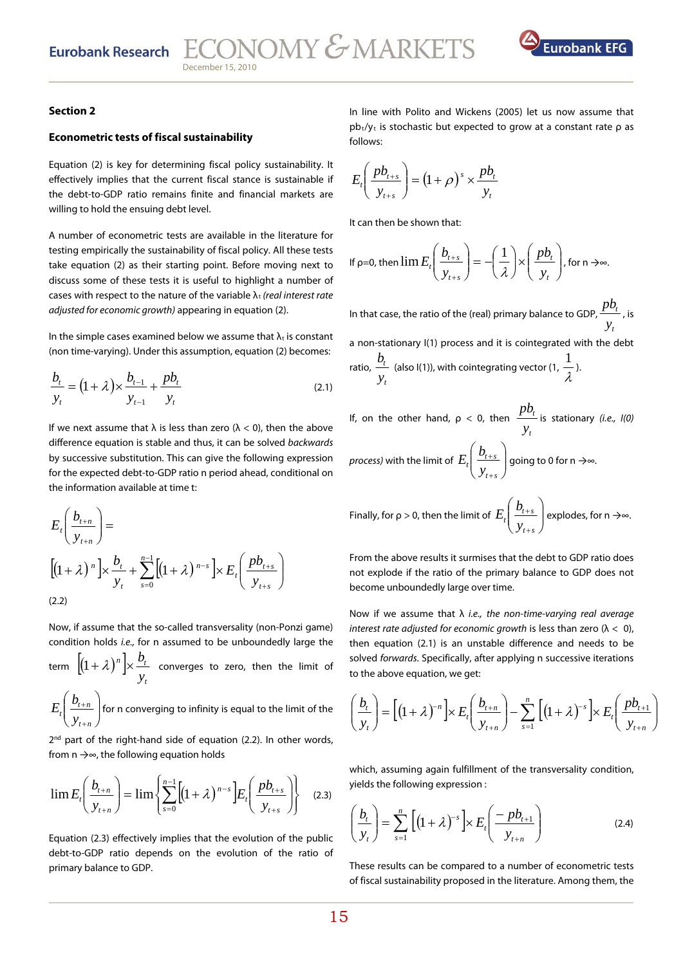

### **Section 2**

### **Econometric tests of fiscal sustainability**

Equation (2) is key for determining fiscal policy sustainability. It effectively implies that the current fiscal stance is sustainable if the debt-to-GDP ratio remains finite and financial markets are willing to hold the ensuing debt level.

A number of econometric tests are available in the literature for testing empirically the sustainability of fiscal policy. All these tests take equation (2) as their starting point. Before moving next to discuss some of these tests it is useful to highlight a number of cases with respect to the nature of the variable  $\lambda_t$  (real interest rate adjusted for economic growth) appearing in equation (2).

In the simple cases examined below we assume that  $\lambda_t$  is constant (non time-varying). Under this assumption, equation (2) becomes:

$$
\frac{b_t}{y_t} = (1 + \lambda) \times \frac{b_{t-1}}{y_{t-1}} + \frac{pb_t}{y_t}
$$
\n(2.1)

If we next assume that  $\lambda$  is less than zero ( $\lambda$  < 0), then the above difference equation is stable and thus, it can be solved backwards by successive substitution. This can give the following expression for the expected debt-to-GDP ratio n period ahead, conditional on the information available at time t:

$$
E_{t}\left(\frac{b_{t+n}}{y_{t+n}}\right) =
$$
\n
$$
\left[\left(1+\lambda\right)^{n}\right] \times \frac{b_{t}}{y_{t}} + \sum_{s=0}^{n-1} \left[\left(1+\lambda\right)^{n-s}\right] \times E_{t}\left(\frac{pb_{t+s}}{y_{t+s}}\right)
$$
\n
$$
(2.2)
$$

Now, if assume that the so-called transversality (non-Ponzi game) condition holds i.e., for n assumed to be unboundedly large the

term  $\|(1+\lambda)^n\|$ *t*  $\frac{n}{\sqrt{2}}$   $\frac{D_t}{T}$ *y*  $\left(1+\lambda\right)^n\Big|\times \frac{b_t}{c}$  converges to zero, then the limit of

 $\overline{\phantom{a}}$ J  $\backslash$  $\overline{\phantom{a}}$  $\setminus$ ſ  $^{+}$  $^{+}$ *nt*  $\frac{v_{t+n}}{v_{t+n}}$  $E_{\rm r}\!\!\left(\!\!{\begin{array}{c} b_{t+n}\end{array}}\!\!\right]$  for n converging to infinity is equal to the limit of the

 $2<sup>nd</sup>$  part of the right-hand side of equation (2.2). In other words, from n →∞, the following equation holds

$$
\lim E_t\left(\frac{b_{t+n}}{y_{t+n}}\right) = \lim \left\{ \sum_{s=0}^{n-1} \left[ (1+\lambda)^{n-s} \right] E_t\left(\frac{pb_{t+s}}{y_{t+s}}\right) \right\} \tag{2.3}
$$

Equation (2.3) effectively implies that the evolution of the public debt-to-GDP ratio depends on the evolution of the ratio of primary balance to GDP.

In line with Polito and Wickens (2005) let us now assume that  $pb_t/y_t$  is stochastic but expected to grow at a constant rate  $\rho$  as follows:

$$
E_t\left(\frac{pb_{t+s}}{y_{t+s}}\right) = \left(1+\rho\right)^s \times \frac{pb_t}{y_t}
$$

It can then be shown that:

If 
$$
\rho = 0
$$
, then  $\lim E_t \left( \frac{b_{t+s}}{y_{t+s}} \right) = -\left( \frac{1}{\lambda} \right) \times \left( \frac{pb_t}{y_t} \right)$ , for  $n \to \infty$ .

In that case, the ratio of the (real) primary balance to GDP,  $\frac{p_0}{p_1}$ *t y*  $\frac{pb_t}{p}$ , is a non-stationary I(1) process and it is cointegrated with the debt ratio, *t t y*  $\frac{b_t}{v}$  (also I(1)), with cointegrating vector (1,  $\frac{1}{\lambda}$  $\frac{1}{2}$ .

If, on the other hand,  $\rho < 0$ , then *t t y*  $pb<sub>t</sub>$  is stationary *(i.e., I(0) process)* with the limit of  $E_t\left|\frac{U_{t+s}}{V}\right|$  $\bigg)$  $\setminus$  $\overline{\phantom{a}}$  $\overline{\mathcal{L}}$ ſ  $^{+}$  $^{+}$ *st*  $\frac{v_{t+s}}{v_{t+s}}$  $E_t\left(\frac{b_{t+s}}{2}\right)$  going to 0 for n →∞.

Finally, for 
$$
\rho > 0
$$
, then the limit of  $E_t \left( \frac{b_{t+s}}{y_{t+s}} \right)$  explodes, for  $n \to \infty$ .

From the above results it surmises that the debt to GDP ratio does not explode if the ratio of the primary balance to GDP does not become unboundedly large over time.

Now if we assume that  $\lambda$  i.e., the non-time-varying real average interest rate adjusted for economic growth is less than zero  $(\lambda < 0)$ , then equation (2.1) is an unstable difference and needs to be solved forwards. Specifically, after applying n successive iterations to the above equation, we get:

$$
\left(\frac{b_t}{y_t}\right) = \left[ \left(1 + \lambda\right)^{-n} \right] \times E_t \left(\frac{b_{t+n}}{y_{t+n}}\right) - \sum_{s=1}^n \left[ \left(1 + \lambda\right)^{-s} \right] \times E_t \left(\frac{pb_{t+1}}{y_{t+n}}\right)
$$

which, assuming again fulfillment of the transversality condition, yields the following expression :

$$
\left(\frac{b_t}{y_t}\right) = \sum_{s=1}^n \left[ (1+\lambda)^{-s} \right] \times E_t \left(\frac{-pb_{t+1}}{y_{t+n}}\right) \tag{2.4}
$$

These results can be compared to a number of econometric tests of fiscal sustainability proposed in the literature. Among them, the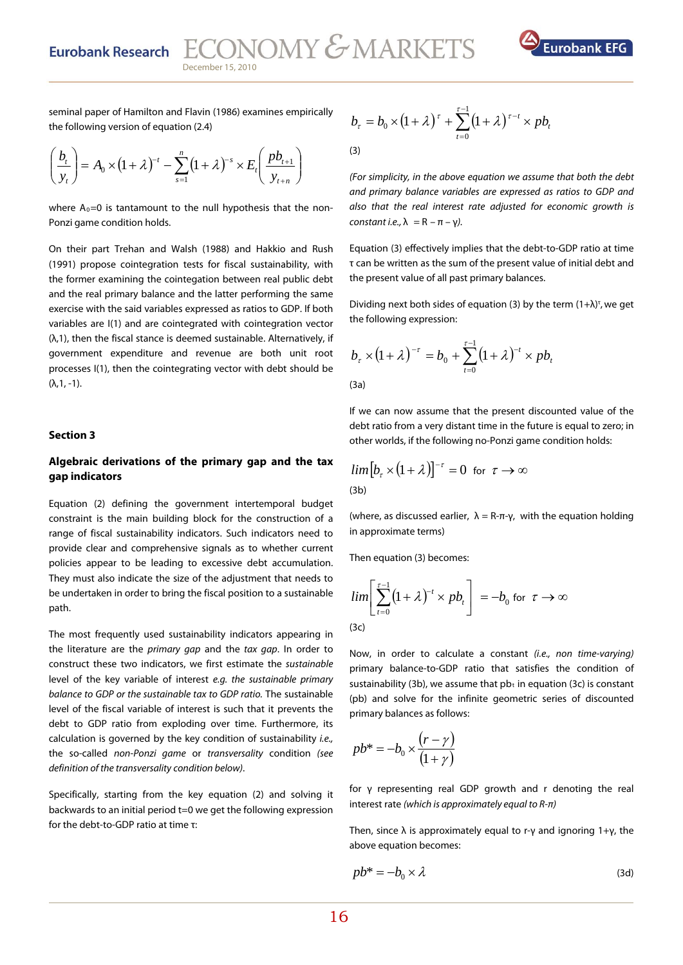**Eurobank Research** 

ECONOMY & MARKETS December 15, 2010



seminal paper of Hamilton and Flavin (1986) examines empirically the following version of equation (2.4)

$$
\left(\frac{b_t}{y_t}\right) = A_0 \times \left(1 + \lambda\right)^{-t} - \sum_{s=1}^n \left(1 + \lambda\right)^{-s} \times E_t\left(\frac{pb_{t+1}}{y_{t+n}}\right)
$$

where  $A_0=0$  is tantamount to the null hypothesis that the non-Ponzi game condition holds.

On their part Trehan and Walsh (1988) and Hakkio and Rush (1991) propose cointegration tests for fiscal sustainability, with the former examining the cointegation between real public debt and the real primary balance and the latter performing the same exercise with the said variables expressed as ratios to GDP. If both variables are I(1) and are cointegrated with cointegration vector (λ,1), then the fiscal stance is deemed sustainable. Alternatively, if government expenditure and revenue are both unit root processes I(1), then the cointegrating vector with debt should be (λ,1, -1).

### **ection 3 S**

### Algebraic derivations of the primary gap and the tax **gap indicators**

Equation (2) defining the government intertemporal budget constraint is the main building block for the construction of a range of fiscal sustainability indicators. Such indicators need to provide clear and comprehensive signals as to whether current policies appear to be leading to excessive debt accumulation. They must also indicate the size of the adjustment that needs to be undertaken in order to bring the fiscal position to a sustainable path.

The most frequently used sustainability indicators appearing in the literature are the *primary gap* and the tax gap. In order to construct these two indicators, we first estimate the sustainable level of the key variable of interest e.g. the sustainable primary balance to GDP or the sustainable tax to GDP ratio. The sustainable level of the fiscal variable of interest is such that it prevents the debt to GDP ratio from exploding over time. Furthermore, its calculation is governed by the key condition of sustainability i.e., the so-called non-Ponzi game or transversality condition (see definition of the transversality condition below).

Specifically, starting from the key equation (2) and solving it backwards to an initial period t=0 we get the following expression for the debt-to-GDP ratio at time τ:

$$
b_{\tau} = b_0 \times (1 + \lambda)^{\tau} + \sum_{t=0}^{\tau-1} (1 + \lambda)^{\tau-t} \times pb_t
$$
\n(3)

(For simplicity, in the above equation we assume that both the debt and primary balance variables are expressed as ratios to GDP and also that the real interest rate adjusted for economic growth is constant i.e.,  $\lambda = R - \pi - \gamma$ ).

Equation (3) effectively implies that the debt-to-GDP ratio at time τ can be written as the sum of the present value of initial debt and the present value of all past primary balances.

Dividing next both sides of equation (3) by the term  $(1 + \lambda)^{\tau}$ , we get the following expression:

$$
b_{\tau} \times (1 + \lambda)^{-\tau} = b_0 + \sum_{t=0}^{\tau-1} (1 + \lambda)^{-t} \times pb_t
$$

(3a)

If we can now assume that the present discounted value of the debt ratio from a very distant time in the future is equal to zero; in other worlds, if the following no-Ponzi game condition holds:

$$
\lim_{(3b)} [b_{\tau} \times (1 + \lambda)]^{-\tau} = 0 \text{ for } \tau \to \infty
$$

(where, as discussed earlier,  $\lambda = R-\pi-\gamma$ , with the equation holding in approximate terms)

Then equation (3) becomes:

$$
\lim_{t \to 0} \left[ \sum_{t=0}^{\tau-1} (1+\lambda)^{-t} \times pb_t \right] = -b_0 \text{ for } \tau \to \infty
$$
\n(3c)

(pb) and solve for the infinite geometric series of discounted primary balances as follows: Now, in order to calculate a constant (i.e., non time-varying) primary balance-to-GDP ratio that satisfies the condition of sustainability (3b), we assume that  $pb<sub>t</sub>$  in equation (3c) is constant

$$
pb^* = -b_0 \times \frac{(r - \gamma)}{(1 + \gamma)}
$$

for  $\gamma$  representing real GDP growth and r denoting the real interest rate (which is approximately equal to  $R-\pi$ )

Then, since  $\lambda$  is approximately equal to r-γ and ignoring 1+γ, the above equation becomes:

$$
pb^* = -b_0 \times \lambda \tag{3d}
$$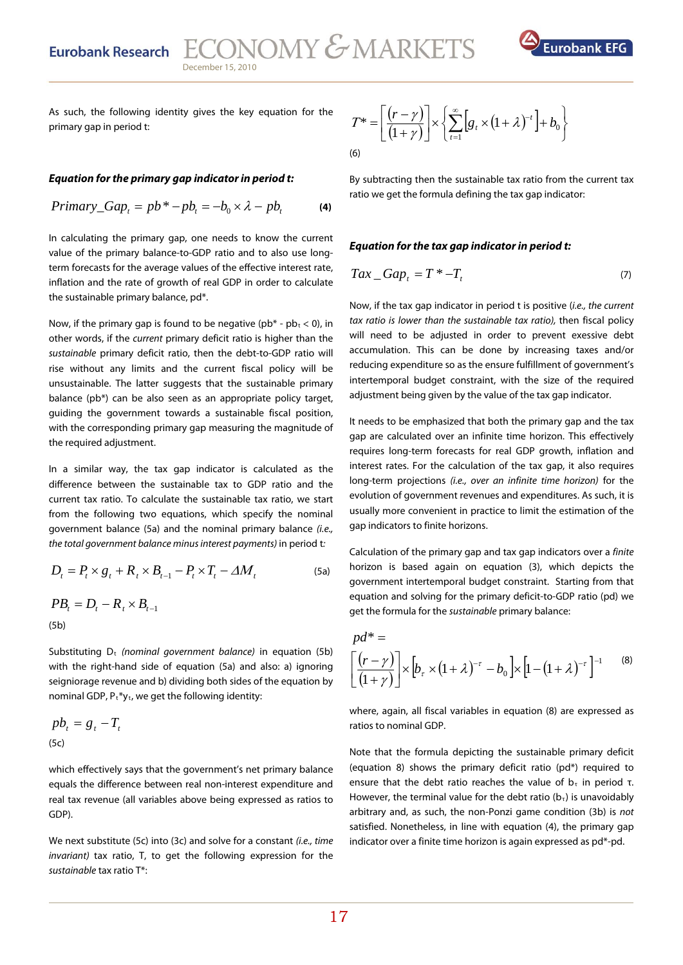

As such, the following identity gives the key equation for the primary gap in period t:

### **Equation for the primary gap indicator in period t:**

$$
Primary\_Gap_t = pb^* - pb_t = -b_0 \times \lambda - pb_t \tag{4}
$$

In calculating the primary gap, one needs to know the current value of the primary balance-to-GDP ratio and to also use longterm forecasts for the average values of the effective interest rate, inflation and the rate of growth of real GDP in order to calculate the sustainable primary balance, pd\*.

Now, if the primary gap is found to be negative ( $pb^*$  -  $pb_t$  < 0), in other words, if the current primary deficit ratio is higher than the sustainable primary deficit ratio, then the debt-to-GDP ratio will rise without any limits and the current fiscal policy will be unsustainable. The latter suggests that the sustainable primary balance (pb\*) can be also seen as an appropriate policy target, guiding the government towards a sustainable fiscal position, with the corresponding primary gap measuring the magnitude of the required adjustment.

In a similar way, the tax gap indicator is calculated as the difference between the sustainable tax to GDP ratio and the current tax ratio. To calculate the sustainable tax ratio, we start from the following two equations, which specify the nominal government balance (5a) and the nominal primary balance (i.e., the total government balance minus interest payments) in period t:

$$
D_t = P_t \times g_t + R_t \times B_{t-1} - P_t \times T_t - \Delta M_t
$$
\n(5a)

$$
PB_{t} = D_{t} - R_{t} \times B_{t-1}
$$
\n(5b)

Substituting  $D_t$  (nominal government balance) in equation (5b) with the right-hand side of equation (5a) and also: a) ignoring seigniorage revenue and b) dividing both sides of the equation by nominal GDP,  $P_t * y_t$ , we get the following identity:

$$
pb_t = g_t - T_t
$$
\n(5c)

which effectively says that the government's net primary balance equals the difference between real non-interest expenditure and real tax revenue (all variables above being expressed as ratios to GDP).

We next substitute (5c) into (3c) and solve for a constant *(i.e., time* invariant) tax ratio, T, to get the following expression for the sustainable tax ratio T\*:

$$
T^* = \left[ \frac{(r - \gamma)}{(1 + \gamma)} \right] \times \left\{ \sum_{t=1}^{\infty} \left[ g_t \times (1 + \lambda)^{-t} \right] + b_0 \right\}
$$
\n(6)

By subtracting then the sustainable tax ratio from the current tax ratio we get the formula defining the tax gap indicator:

### **Equation for the tax gap indicator in period t:**

$$
Tax\_Gap_t = T^* - T_t \tag{7}
$$

Now, if the tax gap indicator in period t is positive (i.e., the current tax ratio is lower than the sustainable tax ratio), then fiscal policy will need to be adjusted in order to prevent exessive debt accumulation. This can be done by increasing taxes and/or reducing expenditure so as the ensure fulfillment of government's intertemporal budget constraint, with the size of the required adjustment being given by the value of the tax gap indicator.

It needs to be emphasized that both the primary gap and the tax gap are calculated over an infinite time horizon. This effectively requires long-term forecasts for real GDP growth, inflation and interest rates. For the calculation of the tax gap, it also requires long-term projections (i.e., over an infinite time horizon) for the evolution of government revenues and expenditures. As such, it is usually more convenient in practice to limit the estimation of the gap indicators to finite horizons.

Calculation of the primary gap and tax gap indicators over a finite horizon is based again on equation (3), which depicts the government intertemporal budget constraint. Starting from that equation and solving for the primary deficit-to-GDP ratio (pd) we get the formula for the sustainable primary balance:

$$
pd^* = \left[\frac{(r-\gamma)}{(1+\gamma)}\right] \times \left[b_r \times (1+\lambda)^{-r} - b_0\right] \times \left[1 - (1+\lambda)^{-r}\right]^{-1}
$$
 (8)

where, again, all fiscal variables in equation (8) are expressed as ratios to nominal GDP.

Note that the formula depicting the sustainable primary deficit (equation 8) shows the primary deficit ratio (pd\*) required to ensure that the debt ratio reaches the value of  $b<sub>\tau</sub>$  in period  $\tau$ . However, the terminal value for the debt ratio  $(b<sub>1</sub>)$  is unavoidably arbitrary and, as such, the non-Ponzi game condition (3b) is not satisfied. Nonetheless, in line with equation (4), the primary gap indicator over a finite time horizon is again expressed as pd\*-pd.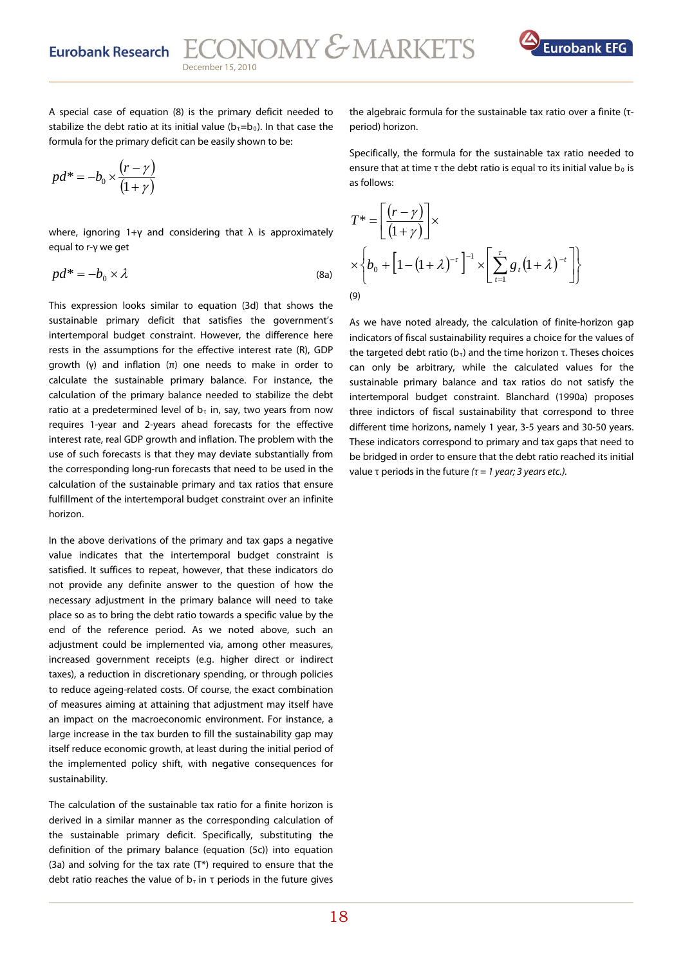

A special case of equation (8) is the primary deficit needed to stabilize the debt ratio at its initial value ( $b<sub>\tau</sub>=b<sub>0</sub>$ ). In that case the formula for the primary deficit can be easily shown to be:

$$
pd^* = -b_0 \times \frac{(r-\gamma)}{(1+\gamma)}
$$

where, ignoring  $1+\gamma$  and considering that  $\lambda$  is approximately equal to r-γ we get

$$
pd^* = -b_0 \times \lambda \tag{8a}
$$

This expression looks similar to equation (3d) that shows the sustainable primary deficit that satisfies the government's intertemporal budget constraint. However, the difference here rests in the assumptions for the effective interest rate (R), GDP growth (γ) and inflation (π) one needs to make in order to calculate the sustainable primary balance. For instance, the calculation of the primary balance needed to stabilize the debt ratio at a predetermined level of  $b<sub>\tau</sub>$  in, say, two years from now requires 1-year and 2-years ahead forecasts for the effective interest rate, real GDP growth and inflation. The problem with the use of such forecasts is that they may deviate substantially from the corresponding long-run forecasts that need to be used in the calculation of the sustainable primary and tax ratios that ensure fulfillment of the intertemporal budget constraint over an infinite horizon.

In the above derivations of the primary and tax gaps a negative value indicates that the intertemporal budget constraint is satisfied. It suffices to repeat, however, that these indicators do not provide any definite answer to the question of how the necessary adjustment in the primary balance will need to take place so as to bring the debt ratio towards a specific value by the end of the reference period. As we noted above, such an adjustment could be implemented via, among other measures, increased government receipts (e.g. higher direct or indirect taxes), a reduction in discretionary spending, or through policies to reduce ageing-related costs. Of course, the exact combination of measures aiming at attaining that adjustment may itself have an impact on the macroeconomic environment. For instance, a large increase in the tax burden to fill the sustainability gap may itself reduce economic growth, at least during the initial period of the implemented policy shift, with negative consequences for sustainability.

The calculation of the sustainable tax ratio for a finite horizon is derived in a similar manner as the corresponding calculation of the sustainable primary deficit. Specifically, substituting the definition of the primary balance (equation (5c)) into equation (3a) and solving for the tax rate (Τ\*) required to ensure that the debt ratio reaches the value of  $b<sub>\tau</sub>$  in  $\tau$  periods in the future gives

the algebraic formula for the sustainable tax ratio over a finite (τperiod) horizon.

Specifically, the formula for the sustainable tax ratio needed to ensure that at time τ the debt ratio is equal το its initial value b<sub>0</sub> is as follows:

$$
T^* = \left[ \frac{(r - \gamma)}{(1 + \gamma)} \right] \times
$$
  
 
$$
\times \left\{ b_0 + \left[ 1 - (1 + \lambda)^{-\tau} \right]^{-1} \times \left[ \sum_{t=1}^{\tau} g_t (1 + \lambda)^{-t} \right] \right\}
$$
  
(9)

As we have noted already, the calculation of finite-horizon gap indicators of fiscal sustainability requires a choice for the values of the targeted debt ratio ( $b<sub>τ</sub>$ ) and the time horizon τ. Theses choices can only be arbitrary, while the calculated values for the sustainable primary balance and tax ratios do not satisfy the intertemporal budget constraint. Blanchard (1990a) proposes three indictors of fiscal sustainability that correspond to three different time horizons, namely 1 year, 3-5 years and 30-50 years. These indicators correspond to primary and tax gaps that need to be bridged in order to ensure that the debt ratio reached its initial value τ periods in the future ( $\tau$  = 1 year; 3 years etc.).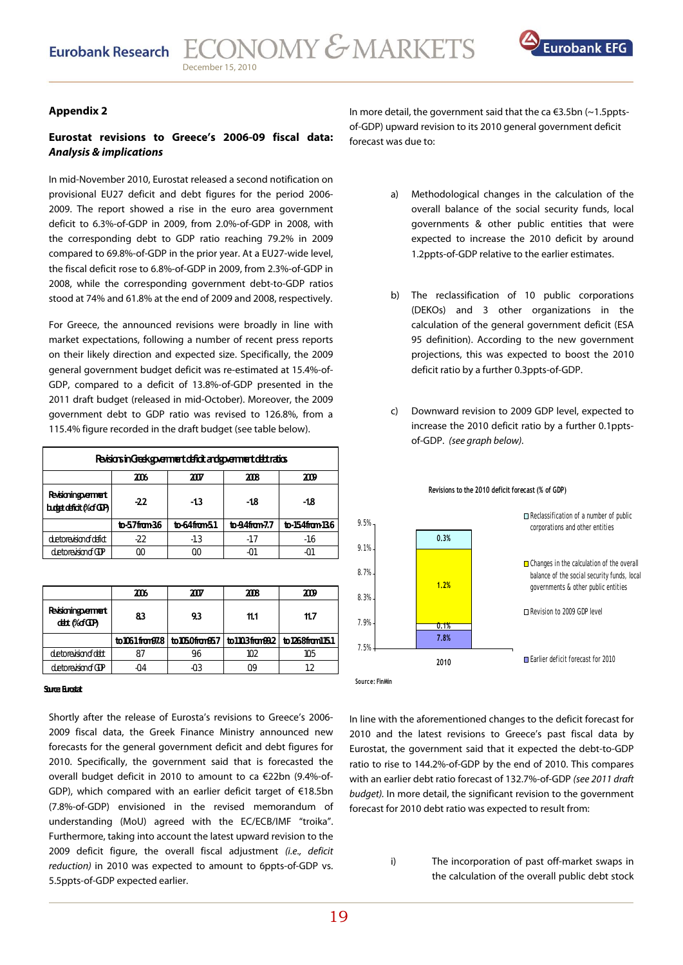

### **Appendix 2**

### **Eurostat revisions to Greece's 2006-09 fiscal data: Analysis & implications**

In mid-November 2010, Eurostat released a second notification on provisional EU27 deficit and debt figures for the period 2006- 2009. The report showed a rise in the euro area government deficit to 6.3%-of-GDP in 2009, from 2.0%-of-GDP in 2008, with the corresponding debt to GDP ratio reaching 79.2% in 2009 compared to 69.8%-of-GDP in the prior year. At a EU27-wide level, the fiscal deficit rose to 6.8%-of-GDP in 2009, from 2.3%-of-GDP in 2008, while the corresponding government debt-to-GDP ratios stood at 74% and 61.8% at the end of 2009 and 2008, respectively.

For Greece, the announced revisions were broadly in line with market expectations, following a number of recent press reports on their likely direction and expected size. Specifically, the 2009 general government budget deficit was re-estimated at 15.4%-of-GDP, compared to a deficit of 13.8%-of-GDP presented in the 2011 draft budget (released in mid-October). Moreover, the 2009 government debt to GDP ratio was revised to 126.8%, from a 115.4% figure recorded in the draft budget (see table below).

| Revisions in Greek sperment deficit and sperment debt ratios |                              |             |                   |                   |  |  |  |  |  |
|--------------------------------------------------------------|------------------------------|-------------|-------------------|-------------------|--|--|--|--|--|
|                                                              | 2006<br>2008<br>2007<br>2009 |             |                   |                   |  |  |  |  |  |
| Revisioning permert<br>b.det.deficit(%ofGDP)                 | $-22$                        | $-13$       | -18               | -18               |  |  |  |  |  |
|                                                              | to-57fram36                  | to-64fram51 | $to-9.4$ fram-7.7 | $to-54$ from $B6$ |  |  |  |  |  |
| detore <i>is</i> ionofdafiot                                 | $-22$                        | $-1.3$      | $-1.7$            | -1.6              |  |  |  |  |  |
| detoraision of CIP                                           | ΩO                           | ΩO          | -01               |                   |  |  |  |  |  |

|                                     | mь | XII | 2008 | 2009                                                       |
|-------------------------------------|----|-----|------|------------------------------------------------------------|
| Revisioning permert<br>dett (%dGDP) | 83 | 93  | 11.1 | 11.7                                                       |
|                                     |    |     |      | to1061from97.8 to1050from957 to1103from99.2 to1268from1151 |
| detoraisionofolist                  |    | 9.6 | 102  | 105                                                        |
| detoraision of GP                   | ብ4 |     |      |                                                            |

### *Source: Eurostat*

Shortly after the release of Eurosta's revisions to Greece's 2006- 2009 fiscal data, the Greek Finance Ministry announced new forecasts for the general government deficit and debt figures for 2010. Specifically, the government said that is forecasted the overall budget deficit in 2010 to amount to ca €22bn (9.4%-of-GDP), which compared with an earlier deficit target of €18.5bn (7.8%-of-GDP) envisioned in the revised memorandum of understanding (MoU) agreed with the EC/ECB/IMF "troika". Furthermore, taking into account the latest upward revision to the 2009 deficit figure, the overall fiscal adjustment (i.e., deficit reduction) in 2010 was expected to amount to 6ppts-of-GDP vs. 5.5ppts-of-GDP expected earlier.

In more detail, the government said that the ca  $\epsilon$ 3.5bn (~1.5pptsof-GDP) upward revision to its 2010 general government deficit forecast was due to:

- a) Methodological changes in the calculation of the overall balance of the social security funds, local governments & other public entities that were expected to increase the 2010 deficit by around 1.2ppts-of-GDP relative to the earlier estimates.
- b) The reclassification of 10 public corporations (DEKOs) and 3 other organizations in the calculation of the general government deficit (ESA 95 definition). According to the new government projections, this was expected to boost the 2010 deficit ratio by a further 0.3ppts-of-GDP.
- c) Downward revision to 2009 GDP level, expected to increase the 2010 deficit ratio by a further 0.1pptsof-GDP. (see graph below).



**Revisions to the 2010 deficit forecast (% of GDP)**

In line with the aforementioned changes to the deficit forecast for 2010 and the latest revisions to Greece's past fiscal data by Eurostat, the government said that it expected the debt-to-GDP ratio to rise to 144.2%-of-GDP by the end of 2010. This compares with an earlier debt ratio forecast of 132.7%-of-GDP (see 2011 draft budget). In more detail, the significant revision to the government forecast for 2010 debt ratio was expected to result from:

> i) The incorporation of past off-market swaps in the calculation of the overall public debt stock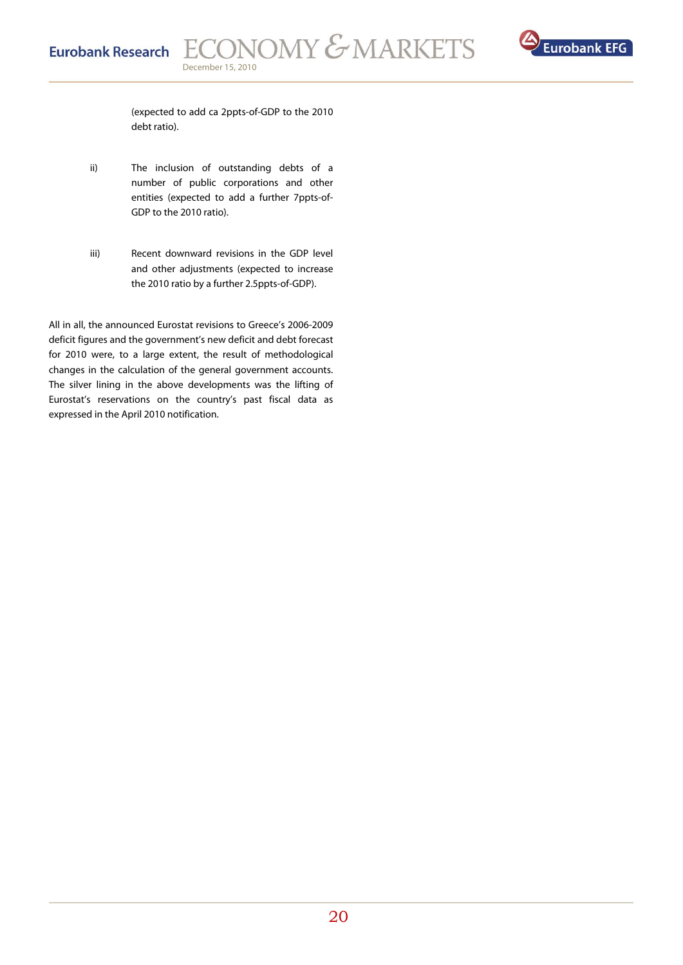

(expected to add ca 2ppts-of-GDP to the 2010 debt ratio).

- ii) The inclusion of outstanding debts of a number of public corporations and other entities (expected to add a further 7ppts-of-GDP to the 2010 ratio).
- iii) Recent downward revisions in the GDP level and other adjustments (expected to increase the 2010 ratio by a further 2.5ppts-of-GDP).

All in all, the announced Eurostat revisions to Greece's 2006-2009 deficit figures and the government's new deficit and debt forecast for 2010 were, to a large extent, the result of methodological changes in the calculation of the general government accounts. The silver lining in the above developments was the lifting of Eurostat's reservations on the country's past fiscal data as expressed in the April 2010 notification.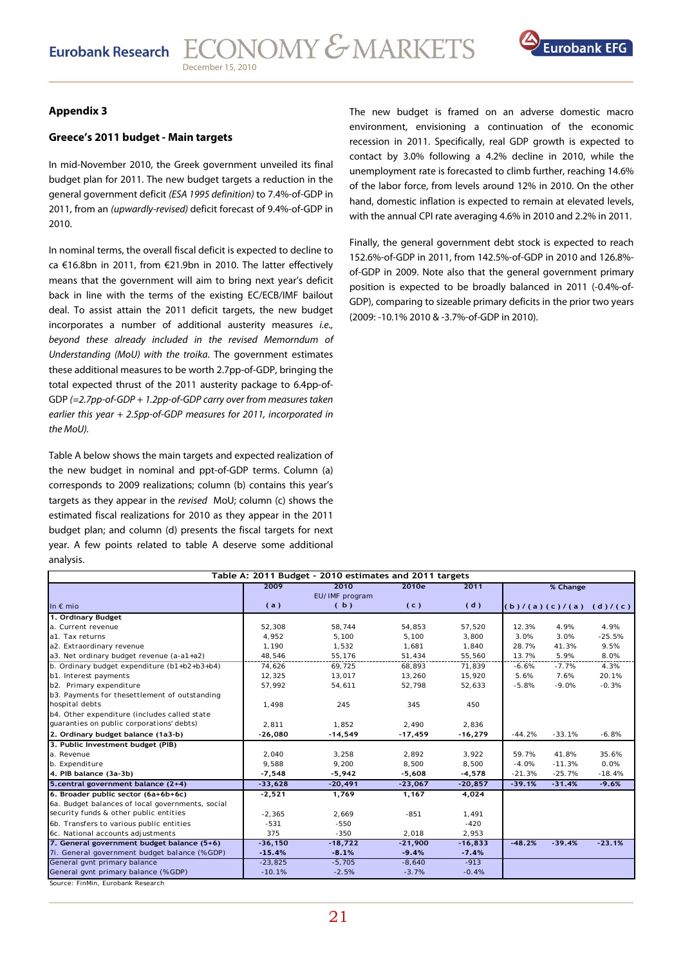

### **Greece's 2011 budget - Main targets**

In mid-November 2010, the Greek government unveiled its final budget plan for 2011. The new budget targets a reduction in the general government deficit (ESA 1995 definition) to 7.4%-of-GDP in 2011, from an (upwardly-revised) deficit forecast of 9.4%-of-GDP in 2010.

In nominal terms, the overall fiscal deficit is expected to decline to ca €16.8bn in 2011, from €21.9bn in 2010. The latter effectively means that the government will aim to bring next year's deficit back in line with the terms of the existing EC/ECB/IMF bailout deal. To assist attain the 2011 deficit targets, the new budget incorporates a number of additional austerity measures i.e., beyond these already included in the revised Memorndum of Understanding (MoU) with the troika. The government estimates these additional measures to be worth 2.7pp-of-GDP, bringing the total expected thrust of the 2011 austerity package to 6.4pp-of-GDP (=2.7pp-of-GDP + 1.2pp-of-GDP carry over from measures taken earlier this year + 2.5pp-of-GDP measures for 2011, incorporated in the MoU).

Table A below shows the main targets and expected realization of the new budget in nominal and ppt-of-GDP terms. Column (a) corresponds to 2009 realizations; column (b) contains this year's targets as they appear in the revised MoU; column (c) shows the estimated fiscal realizations for 2010 as they appear in the 2011 budget plan; and column (d) presents the fiscal targets for next year. A few points related to table A deserve some additional analysis.

**Appendix 3 The new budget is framed on an adverse domestic macro** The new budget is framed on an adverse domestic macro environment, envisioning a continuation of the economic recession in 2011. Specifically, real GDP growth is expected to contact by 3.0% following a 4.2% decline in 2010, while the unemployment rate is forecasted to climb further, reaching 14.6% of the labor force, from levels around 12% in 2010. On the other hand, domestic inflation is expected to remain at elevated levels, with the annual CPI rate averaging 4.6% in 2010 and 2.2% in 2011.

> Finally, the general government debt stock is expected to reach 152.6%-of-GDP in 2011, from 142.5%-of-GDP in 2010 and 126.8% of-GDP in 2009. Note also that the general government primary position is expected to be broadly balanced in 2011 (-0.4%-of-GDP), comparing to sizeable primary deficits in the prior two years (2009: -10.1% 2010 & -3.7%-of-GDP in 2010).

| Table A: 2011 Budget - 2010 estimates and 2011 targets |            |                |           |           |          |                     |          |  |  |
|--------------------------------------------------------|------------|----------------|-----------|-----------|----------|---------------------|----------|--|--|
|                                                        | 2009       | 2010           | 2010e     | 2011      |          | % Change            |          |  |  |
|                                                        |            | EU/IMF program |           |           |          |                     |          |  |  |
| In $\epsilon$ mio                                      | (a)        | (b)            | (c)       | (d)       |          | (b) / (a) (c) / (a) | (d)/(c)  |  |  |
| 1. Ordinary Budget                                     |            |                |           |           |          |                     |          |  |  |
| a. Current revenue                                     | 52,308     | 58,744         | 54,853    | 57,520    | 12.3%    | 4.9%                | 4.9%     |  |  |
| a1. Tax returns                                        | 4.952      | 5.100          | 5.100     | 3.800     | 3.0%     | 3.0%                | $-25.5%$ |  |  |
| a2. Extraordinary revenue                              | 1,190      | 1,532          | 1,681     | 1,840     | 28.7%    | 41.3%               | 9.5%     |  |  |
| a3. Net ordinary budget revenue (a-a1+a2)              | 48,546     | 55,176         | 51,434    | 55,560    | 13.7%    | 5.9%                | 8.0%     |  |  |
| b. Ordinary budget expenditure (b1+b2+b3+b4)           | 74.626     | 69.725         | 68.893    | 71,839    | $-6.6%$  | $-7.7%$             | 4.3%     |  |  |
| b1. Interest payments                                  | 12,325     | 13,017         | 13,260    | 15,920    | 5.6%     | 7.6%                | 20.1%    |  |  |
| b2. Primary expenditure                                | 57,992     | 54,611         | 52,798    | 52,633    | $-5.8%$  | $-9.0%$             | $-0.3%$  |  |  |
| b3. Payments for thesettlement of outstanding          |            |                |           |           |          |                     |          |  |  |
| hospital debts                                         | 1,498      | 245            | 345       | 450       |          |                     |          |  |  |
| b4. Other expenditure (includes called state           |            |                |           |           |          |                     |          |  |  |
| guaranties on public corporations' debts)              | 2.811      | 1.852          | 2.490     | 2,836     |          |                     |          |  |  |
| 2. Ordinary budget balance (1a3-b)                     | $-26,080$  | $-14,549$      | $-17,459$ | $-16,279$ | $-44.2%$ | $-33.1%$            | $-6.8%$  |  |  |
| 3. Public Investment budget (PIB)                      |            |                |           |           |          |                     |          |  |  |
| a. Revenue                                             | 2,040      | 3,258          | 2,892     | 3,922     | 59.7%    | 41.8%               | 35.6%    |  |  |
| b. Expenditure                                         | 9,588      | 9,200          | 8,500     | 8,500     | $-4.0%$  | $-11.3%$            | 0.0%     |  |  |
| 4. PIB balance (3a-3b)                                 | $-7,548$   | $-5,942$       | $-5,608$  | $-4,578$  | $-21.3%$ | $-25.7%$            | $-18.4%$ |  |  |
| 5. central government balance (2+4)                    | $-33,628$  | $-20,491$      | $-23,067$ | $-20,857$ | $-39.1%$ | $-31.4%$            | $-9.6%$  |  |  |
| 6. Broader public sector (6a+6b+6c)                    | $-2,521$   | 1,769          | 1,167     | 4,024     |          |                     |          |  |  |
| 6a. Budget balances of local governments, social       |            |                |           |           |          |                     |          |  |  |
| security funds & other public entities                 | $-2,365$   | 2,669          | $-851$    | 1,491     |          |                     |          |  |  |
| 6b. Transfers to various public entities               | $-531$     | $-550$         |           | $-420$    |          |                     |          |  |  |
| 6c. National accounts adjustments                      | 375        | $-350$         | 2,018     | 2,953     |          |                     |          |  |  |
| 7. General government budget balance (5+6)             | $-36, 150$ | $-18,722$      | $-21,900$ | $-16,833$ | $-48.2%$ | $-39.4%$            | $-23.1%$ |  |  |
| 7i. General government budget balance (% GDP)          | $-15.4%$   | $-8.1%$        | $-9.4%$   | $-7.4%$   |          |                     |          |  |  |
| General gynt primary balance                           | $-23,825$  | $-5,705$       | $-8,640$  | $-913$    |          |                     |          |  |  |
| General gvnt primary balance (% GDP)                   | $-10.1%$   | $-2.5%$        | $-3.7%$   | $-0.4%$   |          |                     |          |  |  |
| Source: FinMin, Eurobank Research                      |            |                |           |           |          |                     |          |  |  |